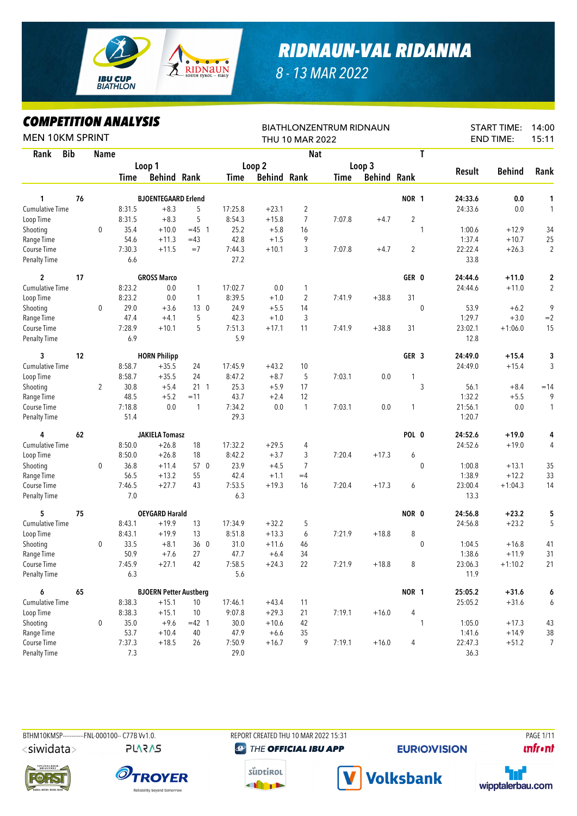

## *RIDNAUN-VAL RIDANNA*

*8 - 13 MAR 2022*

## *COMPETITION ANALYSIS*

| MITEIIIIUN ANALIƏIƏ<br><b>MEN 10KM SPRINT</b> |            |                |        |                               |              |         |                    | THU 10 MAR 2022 | <b>BIATHLONZENTRUM RIDNAUN</b> |                    |                  |              |         | <b>START TIME:</b><br><b>END TIME:</b> | 14:00<br>15:11 |
|-----------------------------------------------|------------|----------------|--------|-------------------------------|--------------|---------|--------------------|-----------------|--------------------------------|--------------------|------------------|--------------|---------|----------------------------------------|----------------|
| Rank                                          | <b>Bib</b> | <b>Name</b>    |        |                               |              |         |                    | <b>Nat</b>      |                                |                    |                  | T            |         |                                        |                |
|                                               |            |                |        | Loop 1                        |              |         | Loop 2             |                 |                                | Loop 3             |                  |              |         |                                        |                |
|                                               |            |                | Time   | <b>Behind Rank</b>            |              | Time    | <b>Behind Rank</b> |                 | <b>Time</b>                    | <b>Behind Rank</b> |                  |              | Result  | <b>Behind</b>                          | Rank           |
| 1                                             | 76         |                |        | <b>BJOENTEGAARD Erlend</b>    |              |         |                    |                 |                                |                    | <b>NOR 1</b>     |              | 24:33.6 | 0.0                                    | 1              |
| <b>Cumulative Time</b>                        |            |                | 8:31.5 | $+8.3$                        | 5            | 17:25.8 | $+23.1$            | $\overline{2}$  |                                |                    |                  |              | 24:33.6 | 0.0                                    | 1              |
| Loop Time                                     |            |                | 8:31.5 | $+8.3$                        | 5            | 8:54.3  | $+15.8$            | 7               | 7:07.8                         | $+4.7$             | $\overline{2}$   |              |         |                                        |                |
| Shooting                                      |            | $\mathbf 0$    | 35.4   | $+10.0$                       | $=45$ 1      | 25.2    | $+5.8$             | 16              |                                |                    |                  | 1            | 1:00.6  | $+12.9$                                | 34             |
| Range Time                                    |            |                | 54.6   | $+11.3$                       | $=43$        | 42.8    | $+1.5$             | 9               |                                |                    |                  |              | 1:37.4  | $+10.7$                                | 25             |
| Course Time                                   |            |                | 7:30.3 | $+11.5$                       | $=7$         | 7:44.3  | $+10.1$            | 3               | 7:07.8                         | $+4.7$             | 2                |              | 22:22.4 | $+26.3$                                | $\overline{2}$ |
| <b>Penalty Time</b>                           |            |                | 6.6    |                               |              | 27.2    |                    |                 |                                |                    |                  |              | 33.8    |                                        |                |
| $\overline{2}$                                | 17         |                |        | <b>GROSS Marco</b>            |              |         |                    |                 |                                |                    | GER 0            |              | 24:44.6 | $+11.0$                                | 2              |
| <b>Cumulative Time</b>                        |            |                | 8:23.2 | 0.0                           | $\mathbf{1}$ | 17:02.7 | 0.0                | 1               |                                |                    |                  |              | 24:44.6 | $+11.0$                                | $\overline{2}$ |
| Loop Time                                     |            |                | 8:23.2 | 0.0                           | 1            | 8:39.5  | $+1.0$             | $\overline{c}$  | 7:41.9                         | $+38.8$            | 31               |              |         |                                        |                |
| Shooting                                      |            | 0              | 29.0   | $+3.6$                        | 130          | 24.9    | $+5.5$             | 14              |                                |                    |                  | $\mathbf 0$  | 53.9    | $+6.2$                                 | 9              |
| Range Time                                    |            |                | 47.4   | $+4.1$                        | 5            | 42.3    | $+1.0$             | 3               |                                |                    |                  |              | 1:29.7  | $+3.0$                                 | $=2$           |
| Course Time                                   |            |                | 7:28.9 | $+10.1$                       | 5            | 7:51.3  | $+17.1$            | 11              | 7:41.9                         | $+38.8$            | 31               |              | 23:02.1 | $+1:06.0$                              | 15             |
| <b>Penalty Time</b>                           |            |                | 6.9    |                               |              | 5.9     |                    |                 |                                |                    |                  |              | 12.8    |                                        |                |
| 3                                             | 12         |                |        | <b>HORN Philipp</b>           |              |         |                    |                 |                                |                    | GER <sub>3</sub> |              | 24:49.0 | $+15.4$                                | 3              |
| <b>Cumulative Time</b>                        |            |                | 8:58.7 | $+35.5$                       | 24           | 17:45.9 | $+43.2$            | 10              |                                |                    |                  |              | 24:49.0 | $+15.4$                                | 3              |
| Loop Time                                     |            |                | 8:58.7 | $+35.5$                       | 24           | 8:47.2  | $+8.7$             | 5               | 7:03.1                         | 0.0                | 1                |              |         |                                        |                |
| Shooting                                      |            | $\overline{2}$ | 30.8   | $+5.4$                        | $21 \t1$     | 25.3    | $+5.9$             | 17              |                                |                    |                  | 3            | 56.1    | $+8.4$                                 | $=14$          |
| Range Time                                    |            |                | 48.5   | $+5.2$                        | $=11$        | 43.7    | $+2.4$             | 12              |                                |                    |                  |              | 1:32.2  | $+5.5$                                 | 9              |
| Course Time                                   |            |                | 7:18.8 | 0.0                           | $\mathbf{1}$ | 7:34.2  | 0.0                | $\mathbf{1}$    | 7:03.1                         | 0.0                | 1                |              | 21:56.1 | 0.0                                    | $\mathbf{1}$   |
| <b>Penalty Time</b>                           |            |                | 51.4   |                               |              | 29.3    |                    |                 |                                |                    |                  |              | 1:20.7  |                                        |                |
| 4                                             | 62         |                |        | <b>JAKIELA Tomasz</b>         |              |         |                    |                 |                                |                    | POL 0            |              | 24:52.6 | $+19.0$                                | 4              |
| Cumulative Time                               |            |                | 8:50.0 | $+26.8$                       | 18           | 17:32.2 | $+29.5$            | 4               |                                |                    |                  |              | 24:52.6 | $+19.0$                                | 4              |
| Loop Time                                     |            |                | 8:50.0 | $+26.8$                       | 18           | 8:42.2  | $+3.7$             | 3               | 7:20.4                         | $+17.3$            | 6                |              |         |                                        |                |
| Shooting                                      |            | 0              | 36.8   | $+11.4$                       | 57 0         | 23.9    | $+4.5$             | 7               |                                |                    |                  | $\mathbf{0}$ | 1:00.8  | $+13.1$                                | 35             |
| Range Time                                    |            |                | 56.5   | $+13.2$                       | 55           | 42.4    | $+1.1$             | $=4$            |                                |                    |                  |              | 1:38.9  | $+12.2$                                | 33             |
| Course Time                                   |            |                | 7:46.5 | $+27.7$                       | 43           | 7:53.5  | $+19.3$            | 16              | 7:20.4                         | $+17.3$            | 6                |              | 23:00.4 | $+1:04.3$                              | 14             |
| <b>Penalty Time</b>                           |            |                | 7.0    |                               |              | 6.3     |                    |                 |                                |                    |                  |              | 13.3    |                                        |                |
| 5                                             | 75         |                |        | <b>OEYGARD Harald</b>         |              |         |                    |                 |                                |                    | NOR 0            |              | 24:56.8 | $+23.2$                                | 5              |
| <b>Cumulative Time</b>                        |            |                | 8:43.1 | $+19.9$                       | 13           | 17:34.9 | $+32.2$            | 5               |                                |                    |                  |              | 24:56.8 | $+23.2$                                | 5              |
| Loop Time                                     |            |                | 8:43.1 | $+19.9$                       | 13           | 8:51.8  | $+13.3$            | 6               | 7:21.9                         | $+18.8$            | 8                |              |         |                                        |                |
| Shooting                                      |            | 0              | 33.5   | $+8.1$                        | 36 0         | 31.0    | $+11.6$            | 46              |                                |                    |                  | $\mathbf{0}$ | 1:04.5  | $+16.8$                                | 41             |
| Range Time                                    |            |                | 50.9   | $+7.6$                        | 27           | 47.7    | $+6.4$             | 34              |                                |                    |                  |              | 1:38.6  | $+11.9$                                | 31             |
| Course Time                                   |            |                | 7:45.9 | $+27.1$                       | 42           | 7:58.5  | $+24.3$            | 22              | 7:21.9                         | $+18.8$            | 8                |              | 23:06.3 | $+1:10.2$                              | 21             |
| <b>Penalty Time</b>                           |            |                | 6.3    |                               |              | $5.6\,$ |                    |                 |                                |                    |                  |              | 11.9    |                                        |                |
| 6                                             | 65         |                |        | <b>BJOERN Petter Austberg</b> |              |         |                    |                 |                                |                    | NOR 1            |              | 25:05.2 | $+31.6$                                | 6              |
| <b>Cumulative Time</b>                        |            |                | 8:38.3 | $+15.1$                       | 10           | 17:46.1 | $+43.4$            | 11              |                                |                    |                  |              | 25:05.2 | $+31.6$                                | 6              |
| Loop Time                                     |            |                | 8:38.3 | $+15.1$                       | 10           | 9:07.8  | $+29.3$            | 21              | 7:19.1                         | $+16.0$            | 4                |              |         |                                        |                |
| Shooting                                      |            | 0              | 35.0   | $+9.6$                        | $=42$ 1      | 30.0    | $+10.6$            | 42              |                                |                    |                  | $\mathbf{1}$ | 1:05.0  | $+17.3$                                | 43             |
| Range Time                                    |            |                | 53.7   | $+10.4$                       | 40           | 47.9    | $+6.6$             | 35              |                                |                    |                  |              | 1:41.6  | $+14.9$                                | 38             |
| Course Time                                   |            |                | 7:37.3 | $+18.5$                       | 26           | 7:50.9  | $+16.7$            | 9               | 7:19.1                         | $+16.0$            | 4                |              | 22:47.3 | $+51.2$                                | $\overline{7}$ |
| Penalty Time                                  |            |                | 7.3    |                               |              | 29.0    |                    |                 |                                |                    |                  |              | 36.3    |                                        |                |

<siwidata>

**PLARAS** 

BTHM10KMSP-----------FNL-000100-- C77B Vv1.0. REPORT CREATED THU 10 MAR 2022 15:31 PAGE 1/11 **@ THE OFFICIAL IBU APP** 

**EURIO)VISION** 

**unfront** 







**Volksbank** 

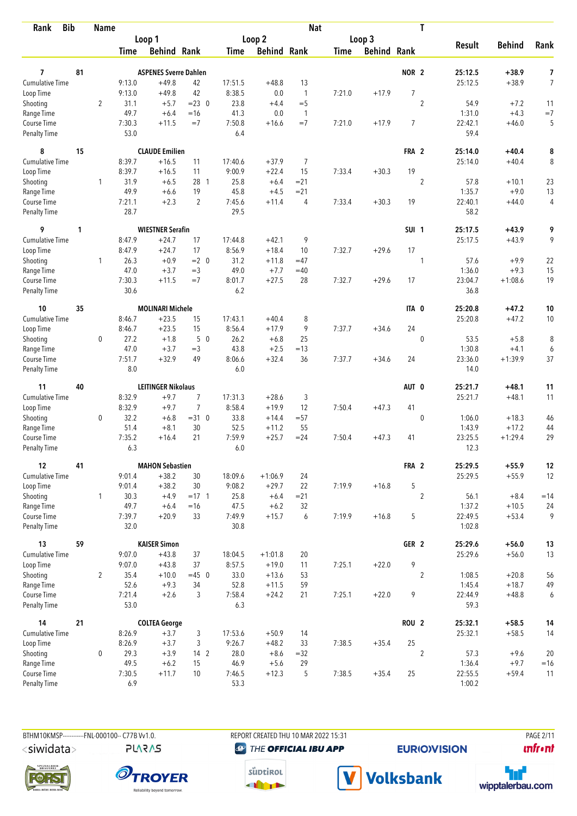| <b>Bib</b><br>Rank                 |    | <b>Name</b>    |                |                              |                |                |                    | <b>Nat</b>     |             |                    |                  | T              |                   |               |                |
|------------------------------------|----|----------------|----------------|------------------------------|----------------|----------------|--------------------|----------------|-------------|--------------------|------------------|----------------|-------------------|---------------|----------------|
|                                    |    |                |                | Loop 1                       |                |                | Loop <sub>2</sub>  |                |             | Loop 3             |                  |                |                   |               |                |
|                                    |    |                | <b>Time</b>    | <b>Behind Rank</b>           |                | Time           | <b>Behind Rank</b> |                | <b>Time</b> | <b>Behind Rank</b> |                  |                | <b>Result</b>     | <b>Behind</b> | Rank           |
|                                    |    |                |                |                              |                |                |                    |                |             |                    |                  |                |                   |               |                |
| 7                                  | 81 |                |                | <b>ASPENES Sverre Dahlen</b> |                |                |                    |                |             |                    | NOR <sub>2</sub> |                | 25:12.5           | $+38.9$       | 7              |
| <b>Cumulative Time</b>             |    |                | 9:13.0         | $+49.8$                      | 42             | 17:51.5        | $+48.8$            | 13             |             |                    |                  |                | 25:12.5           | $+38.9$       | $\overline{7}$ |
| Loop Time                          |    |                | 9:13.0         | $+49.8$                      | 42             | 8:38.5         | 0.0                | $\mathbf{1}$   | 7:21.0      | $+17.9$            | $\overline{7}$   |                |                   |               |                |
| Shooting                           |    | $\overline{2}$ | 31.1           | $+5.7$                       | $= 23 \ 0$     | 23.8           | $+4.4$             | $=$ 5          |             |                    |                  | $\overline{2}$ | 54.9              | $+7.2$        | 11             |
| Range Time                         |    |                | 49.7           | $+6.4$                       | $=16$          | 41.3           | 0.0                | $\overline{1}$ |             |                    |                  |                | 1:31.0            | $+4.3$        | $=7$           |
| Course Time<br><b>Penalty Time</b> |    |                | 7:30.3<br>53.0 | $+11.5$                      | $=7$           | 7:50.8<br>6.4  | $+16.6$            | $=7$           | 7:21.0      | $+17.9$            | 7                |                | 22:42.1<br>59.4   | $+46.0$       | 5              |
| 8                                  | 15 |                |                | <b>CLAUDE Emilien</b>        |                |                |                    |                |             |                    | FRA 2            |                | 25:14.0           | $+40.4$       | 8              |
| Cumulative Time                    |    |                | 8:39.7         | $+16.5$                      | 11             | 17:40.6        | $+37.9$            | 7              |             |                    |                  |                | 25:14.0           | $+40.4$       | 8              |
| Loop Time                          |    |                | 8:39.7         | $+16.5$                      | 11             | 9:00.9         | $+22.4$            | 15             | 7:33.4      | $+30.3$            | 19               |                |                   |               |                |
| Shooting                           |    | 1              | 31.9           | $+6.5$                       | 28 1           | 25.8           | $+6.4$             | $= 21$         |             |                    |                  | $\overline{2}$ | 57.8              | $+10.1$       | 23             |
| Range Time                         |    |                | 49.9           | $+6.6$                       | 19             | 45.8           | $+4.5$             | $= 21$         |             |                    |                  |                | 1:35.7            | $+9.0$        | 13             |
| Course Time                        |    |                | 7:21.1         | $+2.3$                       | 2              | 7:45.6         | $+11.4$            | 4              | 7:33.4      | $+30.3$            | 19               |                | 22:40.1           | $+44.0$       | 4              |
| <b>Penalty Time</b>                |    |                | 28.7           |                              |                | 29.5           |                    |                |             |                    |                  |                | 58.2              |               |                |
| 9                                  | 1  |                |                | <b>WIESTNER Serafin</b>      |                |                |                    |                |             |                    | SUI <sub>1</sub> |                | 25:17.5           | $+43.9$       | 9              |
| <b>Cumulative Time</b>             |    |                | 8:47.9         | $+24.7$                      | 17             | 17:44.8        | $+42.1$            | 9              |             |                    |                  |                | 25:17.5           | $+43.9$       | 9              |
| Loop Time                          |    |                | 8:47.9         | $+24.7$                      | 17             | 8:56.9         | $+18.4$            | 10             | 7:32.7      | $+29.6$            | 17               |                |                   |               |                |
| Shooting                           |    | $\mathbf{1}$   | 26.3           | $+0.9$                       | $= 2 \ 0$      | 31.2           | $+11.8$            | $=47$          |             |                    |                  | 1              | 57.6              | $+9.9$        | 22             |
| Range Time                         |    |                | 47.0           | $+3.7$                       | $=3$           | 49.0           | $+7.7$             | $=40$          |             |                    |                  |                | 1:36.0            | $+9.3$        | 15             |
| Course Time                        |    |                | 7:30.3         | $+11.5$                      | $=7$           | 8:01.7         | $+27.5$            | 28             | 7:32.7      | $+29.6$            | 17               |                | 23:04.7           | $+1:08.6$     | 19             |
| <b>Penalty Time</b>                |    |                | 30.6           |                              |                | 6.2            |                    |                |             |                    |                  |                | 36.8              |               |                |
| 10                                 | 35 |                |                | <b>MOLINARI Michele</b>      |                |                |                    |                |             |                    | ITA 0            |                | 25:20.8           | +47.2         | 10             |
| Cumulative Time                    |    |                | 8:46.7         | $+23.5$                      | 15             | 17:43.1        | $+40.4$            | 8              |             |                    |                  |                | 25:20.8           | $+47.2$       | 10             |
| Loop Time                          |    |                | 8:46.7         | $+23.5$                      | 15             | 8:56.4         | $+17.9$            | 9              | 7:37.7      | $+34.6$            | 24               |                |                   |               |                |
| Shooting                           |    | 0              | 27.2           | $+1.8$                       | 50             | 26.2           | $+6.8$             | 25             |             |                    |                  | $\mathbf 0$    | 53.5              | $+5.8$        | 8              |
| Range Time                         |    |                | 47.0           | $+3.7$                       | $=3$           | 43.8           | $+2.5$             | $=13$          |             |                    |                  |                | 1:30.8            | $+4.1$        | 6              |
| Course Time                        |    |                | 7:51.7         | $+32.9$                      | 49             | 8:06.6         | $+32.4$            | 36             | 7:37.7      | $+34.6$            | 24               |                | 23:36.0           | $+1:39.9$     | 37             |
| <b>Penalty Time</b>                |    |                | 8.0            |                              |                | 6.0            |                    |                |             |                    |                  |                | 14.0              |               |                |
| 11                                 | 40 |                |                | <b>LEITINGER Nikolaus</b>    |                |                |                    |                |             |                    | AUT 0            |                | 25:21.7           | +48.1         | 11             |
| <b>Cumulative Time</b>             |    |                | 8:32.9         | $+9.7$                       | $\overline{7}$ | 17:31.3        | $+28.6$            | 3              |             |                    |                  |                | 25:21.7           | $+48.1$       | 11             |
| Loop Time                          |    |                | 8:32.9         | $+9.7$                       | $\overline{7}$ | 8:58.4         | $+19.9$            | 12             | 7:50.4      | $+47.3$            | 41               |                |                   |               |                |
| Shooting                           |    | 0              | 32.2           | $+6.8$                       | $=31.0$        | 33.8           | $+14.4$            | $= 57$         |             |                    |                  | $\mathbf{0}$   | 1:06.0            | $+18.3$       | 46             |
| Range Time                         |    |                | 51.4           | $+8.1$                       | 30             | 52.5           | $+11.2$            | 55             |             |                    |                  |                | 1:43.9            | $+17.2$       | 44             |
| Course Time                        |    |                | 7:35.2         | $+16.4$                      | 21             | 7:59.9         | $+25.7$            | $= 24$         | 7:50.4      | $+47.3$            | 41               |                | 23:25.5           | $+1:29.4$     | 29             |
| <b>Penalty Time</b>                |    |                | 6.3            |                              |                | 6.0            |                    |                |             |                    |                  |                | 12.3              |               |                |
| 12                                 | 41 |                |                | <b>MAHON Sebastien</b>       |                |                |                    |                |             |                    | FRA 2            |                | 25:29.5           | $+55.9$       | 12             |
| Cumulative Time                    |    |                | 9:01.4         | $+38.2$                      | 30             | 18:09.6        | $+1:06.9$          | 24             |             |                    |                  |                | 25:29.5           | $+55.9$       | 12             |
| Loop Time                          |    |                | 9:01.4         | $+38.2$                      | 30             | 9:08.2         | $+29.7$            | 22             | 7:19.9      | $+16.8$            | 5                |                |                   |               |                |
| Shooting                           |    | $\mathbf{1}$   | 30.3           | $+4.9$                       | $= 17 \quad 1$ | 25.8           | $+6.4$             | $= 21$         |             |                    |                  | $\overline{2}$ | 56.1              | $+8.4$        | $=14$          |
| Range Time                         |    |                | 49.7           | $+6.4$                       | $=16$          | 47.5           | $+6.2$             | 32             |             |                    |                  |                | 1:37.2            | $+10.5$       | 24             |
| Course Time<br>Penalty Time        |    |                | 7:39.7<br>32.0 | $+20.9$                      | 33             | 7:49.9<br>30.8 | $+15.7$            | 6              | 7:19.9      | $+16.8$            | 5                |                | 22:49.5<br>1:02.8 | $+53.4$       | 9              |
|                                    |    |                |                |                              |                |                |                    |                |             |                    |                  |                |                   |               |                |
| 13                                 | 59 |                |                | <b>KAISER Simon</b>          |                |                |                    |                |             |                    | GER <sub>2</sub> |                | 25:29.6           | $+56.0$       | 13             |
| <b>Cumulative Time</b>             |    |                | 9:07.0         | $+43.8$                      | 37             | 18:04.5        | $+1:01.8$          | 20             |             |                    |                  |                | 25:29.6           | $+56.0$       | 13             |
| Loop Time                          |    |                | 9:07.0         | $+43.8$                      | 37             | 8:57.5         | $+19.0$            | 11             | 7:25.1      | $+22.0$            | 9                |                |                   |               |                |
| Shooting                           |    | $\overline{2}$ | 35.4           | $+10.0$                      | $=45$ 0        | 33.0           | $+13.6$            | 53             |             |                    |                  | $\overline{2}$ | 1:08.5            | $+20.8$       | 56             |
| Range Time                         |    |                | 52.6           | $+9.3$                       | 34             | 52.8           | $+11.5$            | 59             |             |                    |                  |                | 1:45.4            | $+18.7$       | 49             |
| Course Time<br>Penalty Time        |    |                | 7:21.4<br>53.0 | $+2.6$                       | 3              | 7:58.4<br>6.3  | $+24.2$            | 21             | 7:25.1      | $+22.0$            | 9                |                | 22:44.9<br>59.3   | $+48.8$       | 6              |
| 14                                 | 21 |                |                | <b>COLTEA George</b>         |                |                |                    |                |             |                    | ROU <sub>2</sub> |                | 25:32.1           | $+58.5$       | 14             |
| <b>Cumulative Time</b>             |    |                | 8:26.9         | $+3.7$                       | 3              | 17:53.6        | $+50.9$            | 14             |             |                    |                  |                | 25:32.1           | $+58.5$       | 14             |
| Loop Time                          |    |                | 8:26.9         | $+3.7$                       | 3              | 9:26.7         | $+48.2$            | 33             | 7:38.5      | $+35.4$            | 25               |                |                   |               |                |
| Shooting                           |    | 0              | 29.3           | $+3.9$                       | 14 2           | 28.0           | $+8.6$             | $=32$          |             |                    |                  | 2              | 57.3              | $+9.6$        | 20             |
| Range Time                         |    |                | 49.5           | $+6.2$                       | 15             | 46.9           | $+5.6$             | 29             |             |                    |                  |                | 1:36.4            | $+9.7$        | $=16$          |
| Course Time                        |    |                | 7:30.5         | $+11.7$                      | 10             | 7:46.5         | $+12.3$            | 5              | 7:38.5      | $+35.4$            | 25               |                | 22:55.5           | $+59.4$       | 11             |
| <b>Penalty Time</b>                |    |                | 6.9            |                              |                | 53.3           |                    |                |             |                    |                  |                | 1:00.2            |               |                |

BTHM10KMSP------------FNL-000100-- C77B Vv1.0. <siwidata>

**PLARAS** 

REPORT CREATED THU 10 MAR 2022 15:31 **@** THE OFFICIAL IBU APP

**EURIO)VISION** 

**PAGE 2/11 unfront** 









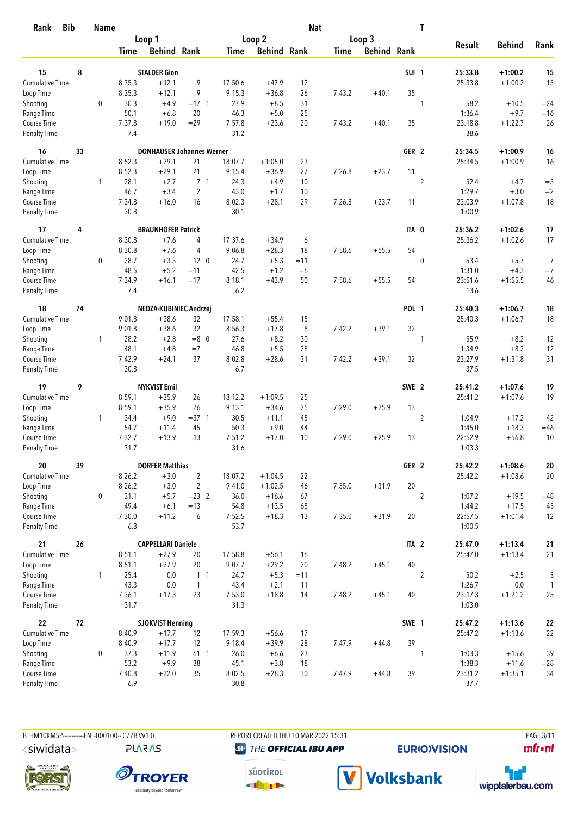| <b>Bib</b><br>Rank          |    | <b>Name</b>  |                  |                                  |                 |                |                    | <b>Nat</b>  |             |                    |                  | T              |                   |                        |                |
|-----------------------------|----|--------------|------------------|----------------------------------|-----------------|----------------|--------------------|-------------|-------------|--------------------|------------------|----------------|-------------------|------------------------|----------------|
|                             |    |              |                  | Loop 1                           |                 |                | Loop <sub>2</sub>  |             |             | Loop 3             |                  |                |                   |                        |                |
|                             |    |              | <b>Time</b>      | <b>Behind Rank</b>               |                 | Time           | <b>Behind Rank</b> |             | <b>Time</b> | <b>Behind Rank</b> |                  |                | <b>Result</b>     | <b>Behind</b>          | Rank           |
| 15                          | 8  |              |                  | <b>STALDER Gion</b>              |                 |                |                    |             |             |                    | <b>SUI 1</b>     |                | 25:33.8           | $+1:00.2$              |                |
| Cumulative Time             |    |              |                  | $+12.1$                          | 9               | 17:50.6        | $+47.9$            |             |             |                    |                  |                |                   |                        | 15<br>15       |
|                             |    |              | 8:35.3<br>8:35.3 | $+12.1$                          | 9               | 9:15.3         | $+36.8$            | 12<br>26    | 7:43.2      | $+40.1$            | 35               |                | 25:33.8           | $+1:00.2$              |                |
| Loop Time<br>Shooting       |    | $\mathbf 0$  | 30.3             | $+4.9$                           | $= 17 \quad 1$  | 27.9           | $+8.5$             | 31          |             |                    |                  | 1              | 58.2              | $+10.5$                | $= 24$         |
| Range Time                  |    |              | 50.1             | $+6.8$                           | 20              | 46.3           | $+5.0$             | 25          |             |                    |                  |                | 1:36.4            | $+9.7$                 | $=16$          |
| Course Time                 |    |              | 7:37.8           | $+19.0$                          | $=29$           | 7:57.8         | $+23.6$            | 20          | 7:43.2      | $+40.1$            | 35               |                | 23:18.8           | $+1:22.7$              | 26             |
| <b>Penalty Time</b>         |    |              | 7.4              |                                  |                 | 31.2           |                    |             |             |                    |                  |                | 38.6              |                        |                |
| 16                          | 33 |              |                  | <b>DONHAUSER Johannes Werner</b> |                 |                |                    |             |             |                    | GER <sub>2</sub> |                | 25:34.5           | $+1:00.9$              | 16             |
| <b>Cumulative Time</b>      |    |              | 8:52.3           | $+29.1$                          | 21              | 18:07.7        | $+1:05.0$          | 23          |             |                    |                  |                | 25:34.5           | $+1:00.9$              | 16             |
| Loop Time                   |    |              | 8:52.3           | $+29.1$                          | 21              | 9:15.4         | $+36.9$            | 27          | 7:26.8      | $+23.7$            | 11               |                |                   |                        |                |
| Shooting                    |    | 1            | 28.1             | $+2.7$                           | 7 <sub>1</sub>  | 24.3           | $+4.9$             | 10          |             |                    |                  | $\overline{2}$ | 52.4              | $+4.7$                 | $=$ 5          |
| Range Time                  |    |              | 46.7             | $+3.4$                           | $\overline{2}$  | 43.0           | $+1.7$             | 10          |             |                    |                  |                | 1:29.7            | $+3.0$                 | $=2$           |
| Course Time                 |    |              | 7:34.8           | $+16.0$                          | 16              | 8:02.3         | $+28.1$            | 29          | 7:26.8      | $+23.7$            | 11               |                | 23:03.9           | $+1:07.8$              | 18             |
| <b>Penalty Time</b>         |    |              | 30.8             |                                  |                 | 30.1           |                    |             |             |                    |                  |                | 1:00.9            |                        |                |
| 17                          | 4  |              |                  | <b>BRAUNHOFER Patrick</b>        |                 |                |                    |             |             |                    | ITA 0            |                | 25:36.2           | $+1:02.6$              | 17             |
| <b>Cumulative Time</b>      |    |              | 8:30.8           | $+7.6$                           | 4               | 17:37.6        | $+34.9$            | 6           |             |                    |                  |                | 25:36.2           | $+1:02.6$              | 17             |
| Loop Time                   |    |              | 8:30.8           | $+7.6$                           | 4               | 9:06.8         | $+28.3$            | 18          | 7:58.6      | $+55.5$            | 54               |                |                   |                        |                |
| Shooting                    |    | $\mathbf 0$  | 28.7             | $+3.3$                           | 12 <sub>0</sub> | 24.7           | $+5.3$             | $=11$       |             |                    |                  | $\mathbf 0$    | 53.4              | $+5.7$                 | $\overline{7}$ |
| Range Time                  |    |              | 48.5             | $+5.2$                           | $=11$           | 42.5           | $+1.2$             | $=6$        |             |                    |                  |                | 1:31.0            | $+4.3$                 | $=7$           |
| Course Time                 |    |              | 7:34.9           | $+16.1$                          | $=17$           | 8:18.1         | $+43.9$            | 50          | 7:58.6      | $+55.5$            | 54               |                | 23:51.6           | $+1:55.5$              | 46             |
| <b>Penalty Time</b>         |    |              | 7.4              |                                  |                 | 6.2            |                    |             |             |                    |                  |                | 13.6              |                        |                |
| 18                          | 74 |              |                  | NEDZA-KUBINIEC Andrzej           |                 |                |                    |             |             |                    | <b>POL 1</b>     |                | 25:40.3           | $+1:06.7$              | 18             |
| Cumulative Time             |    |              | 9:01.8           | $+38.6$                          | 32              | 17:58.1        | $+55.4$            | 15          |             |                    |                  |                | 25:40.3           | $+1:06.7$              | 18             |
| Loop Time                   |    |              | 9:01.8           | $+38.6$                          | 32              | 8:56.3         | $+17.8$            | 8           | 7:42.2      | $+39.1$            | 32               |                |                   |                        |                |
| Shooting                    |    | $\mathbf{1}$ | 28.2             | $+2.8$                           | $=8$ 0          | 27.6           | $+8.2$             | 30          |             |                    |                  | 1              | 55.9              | $+8.2$                 | 12             |
| Range Time                  |    |              | 48.1             | $+4.8$                           | $=7$            | 46.8           | $+5.5$             | 28          |             |                    |                  |                | 1:34.9            | $+8.2$                 | 12             |
| Course Time                 |    |              | 7:42.9           | $+24.1$                          | 37              | 8:02.8         | $+28.6$            | 31          | 7:42.2      | $+39.1$            | 32               |                | 23:27.9           | $+1:31.8$              | 31             |
| <b>Penalty Time</b>         |    |              | 30.8             |                                  |                 | 6.7            |                    |             |             |                    |                  |                | 37.5              |                        |                |
| 19                          | 9  |              |                  | <b>NYKVIST Emil</b>              |                 |                |                    |             |             |                    | SWE 2            |                | 25:41.2           | $+1:07.6$              | 19             |
| <b>Cumulative Time</b>      |    |              | 8:59.1           | $+35.9$                          | 26              | 18:12.2        | $+1:09.5$          | 25          |             |                    |                  |                | 25:41.2           | $+1:07.6$              | 19             |
| Loop Time                   |    |              | 8:59.1           | $+35.9$                          | 26              | 9:13.1         | $+34.6$            | 25          | 7:29.0      | $+25.9$            | 13               |                |                   |                        |                |
| Shooting                    |    | $\mathbf{1}$ | 34.4             | $+9.0$                           | $=37.1$         | 30.5           | $+11.1$            | 45          |             |                    |                  | $\overline{2}$ | 1:04.9            | $+17.2$                | 42             |
| Range Time                  |    |              | 54.7             | $+11.4$                          | 45              | 50.3           | $+9.0$             | 44          |             |                    |                  |                | 1:45.0            | $+18.3$                | $=46$          |
| Course Time                 |    |              | 7:32.7           | $+13.9$                          | 13              | 7:51.2         | $+17.0$            | 10          | 7:29.0      | $+25.9$            | 13               |                | 22:52.9           | $+56.8$                | 10             |
| <b>Penalty Time</b>         |    |              | 31.7             |                                  |                 | 31.6           |                    |             |             |                    |                  |                | 1:03.3            |                        |                |
| 20                          | 39 |              |                  | <b>DORFER Matthias</b>           |                 |                |                    |             |             |                    | GER 2            |                | 25:42.2           | $+1:08.6$              | ${\bf 20}$     |
| <b>Cumulative Time</b>      |    |              | 8:26.2           | $+3.0$                           | $\overline{2}$  | 18:07.2        | $+1:04.5$          | 22          |             |                    |                  |                | 25:42.2           | $+1:08.6$              | 20             |
| Loop Time                   |    |              | 8:26.2           | $+3.0$                           | $\overline{2}$  | 9:41.0         | $+1:02.5$          | 46          | 7:35.0      | $+31.9$            | 20               |                |                   |                        |                |
| Shooting                    |    | 0            | 31.1             | $+5.7$                           | $= 23$ 2        | 36.0           | $+16.6$            | 67          |             |                    |                  | $\overline{2}$ | 1:07.2            | $+19.5$                | $=48$          |
| Range Time                  |    |              | 49.4             | $+6.1$                           | $=13$           | 54.8           | $+13.5$            | 65          |             |                    |                  |                | 1:44.2            | $+17.5$                | 45             |
| Course Time<br>Penalty Time |    |              | 7:30.0<br>6.8    | $+11.2$                          | 6               | 7:52.5<br>53.7 | $+18.3$            | 13          | 7:35.0      | $+31.9$            | 20               |                | 22:57.5<br>1:00.5 | $+1:01.4$              | 12             |
| 21                          | 26 |              |                  | <b>CAPPELLARI Daniele</b>        |                 |                |                    |             |             |                    |                  |                | 25:47.0           |                        |                |
| <b>Cumulative Time</b>      |    |              |                  |                                  |                 |                |                    |             |             |                    | ITA <sub>2</sub> |                |                   | $+1:13.4$<br>$+1:13.4$ | 21             |
|                             |    |              | 8:51.1           | $+27.9$<br>$+27.9$               | 20<br>20        | 17:58.8        | $+56.1$            | 16          |             |                    | 40               |                | 25:47.0           |                        | 21             |
| Loop Time<br>Shooting       |    | $\mathbf{1}$ | 8:51.1<br>25.4   |                                  | 1 <sub>1</sub>  | 9:07.7         | $+29.2$            | 20          | 7:48.2      | $+45.1$            |                  |                |                   | $+2.5$                 |                |
| Range Time                  |    |              | 43.3             | 0.0<br>0.0                       | $\overline{1}$  | 24.7<br>43.4   | $+5.3$<br>$+2.1$   | $=11$<br>11 |             |                    |                  | $\overline{2}$ | 50.2<br>1:26.7    | $0.0\,$                | $\sqrt{3}$     |
| Course Time                 |    |              | 7:36.1           | $+17.3$                          | 23              | 7:53.0         | $+18.8$            | 14          | 7:48.2      | $+45.1$            | 40               |                | 23:17.3           | $+1:21.2$              | 1<br>25        |
| Penalty Time                |    |              | 31.7             |                                  |                 | 31.3           |                    |             |             |                    |                  |                | 1:03.0            |                        |                |
| 22                          | 72 |              |                  | <b>SJOKVIST Henning</b>          |                 |                |                    |             |             |                    | SWE 1            |                | 25:47.2           | $+1:13.6$              | ${\bf 22}$     |
| <b>Cumulative Time</b>      |    |              | 8:40.9           | $+17.7$                          | 12              | 17:59.3        | $+56.6$            | 17          |             |                    |                  |                | 25:47.2           | $+1:13.6$              | 22             |
| Loop Time                   |    |              | 8:40.9           | $+17.7$                          | 12              | 9:18.4         | $+39.9$            | 28          | 7:47.9      | $+44.8$            | 39               |                |                   |                        |                |
| Shooting                    |    | $\mathbf 0$  | 37.3             | $+11.9$                          | 61 1            | 26.0           | $+6.6$             | 23          |             |                    |                  | 1              | 1:03.3            | $+15.6$                | 39             |
| Range Time                  |    |              | 53.2             | $+9.9$                           | 38              | 45.1           | $+3.8$             | 18          |             |                    |                  |                | 1:38.3            | $+11.6$                | $=28$          |
| Course Time                 |    |              | 7:40.8           | $+22.0$                          | 35              | 8:02.5         | $+28.3$            | 30          | 7:47.9      | $+44.8$            | 39               |                | 23:31.2           | $+1:35.1$              | 34             |
| Penalty Time                |    |              | 6.9              |                                  |                 | 30.8           |                    |             |             |                    |                  |                | 37.7              |                        |                |

**PLARAS** 

BTHM10KMSP-----------FNL-000100-- C77B Vv1.0. REPORT CREATED THU 10 MAR 2022 15:31 PAGE 3/11 PAGE 3/11 **@** THE OFFICIAL IBU APP

**EURIO)VISION** 

**unfront** 









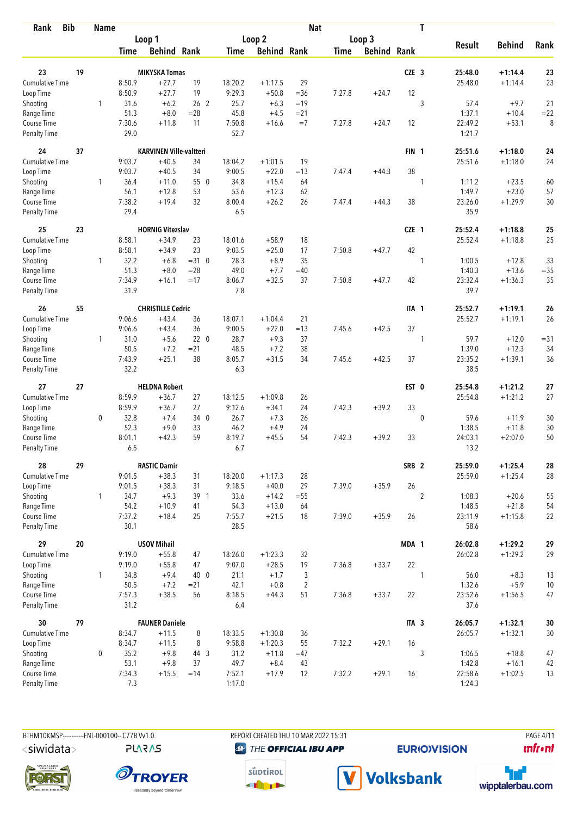| <b>Bib</b><br>Rank          |    | <b>Name</b>  |                |                                |                 |                |                    | <b>Nat</b>     |             |                    |                  | T              |                 |               |        |
|-----------------------------|----|--------------|----------------|--------------------------------|-----------------|----------------|--------------------|----------------|-------------|--------------------|------------------|----------------|-----------------|---------------|--------|
|                             |    |              |                | Loop 1                         |                 |                | Loop <sub>2</sub>  |                |             | Loop 3             |                  |                |                 |               |        |
|                             |    |              | <b>Time</b>    | <b>Behind Rank</b>             |                 | Time           | <b>Behind Rank</b> |                | <b>Time</b> | <b>Behind Rank</b> |                  |                | <b>Result</b>   | <b>Behind</b> | Rank   |
| 23                          | 19 |              |                | <b>MIKYSKA Tomas</b>           |                 |                |                    |                |             |                    | CZE <sub>3</sub> |                | 25:48.0         | $+1:14.4$     | 23     |
| Cumulative Time             |    |              | 8:50.9         | $+27.7$                        | 19              | 18:20.2        | $+1:17.5$          | 29             |             |                    |                  |                | 25:48.0         | $+1:14.4$     | 23     |
|                             |    |              | 8:50.9         | $+27.7$                        | 19              | 9:29.3         | $+50.8$            | $=36$          | 7:27.8      | $+24.7$            | 12               |                |                 |               |        |
| Loop Time                   |    | 1            | 31.6           | $+6.2$                         | 26 <sub>2</sub> | 25.7           | $+6.3$             | $=19$          |             |                    |                  | 3              | 57.4            | $+9.7$        | 21     |
| Shooting<br>Range Time      |    |              | 51.3           | $+8.0$                         | $= 28$          | 45.8           | $+4.5$             | $= 21$         |             |                    |                  |                | 1:37.1          | $+10.4$       | $= 22$ |
| Course Time                 |    |              | 7:30.6         | $+11.8$                        | 11              | 7:50.8         | $+16.6$            | $=7$           | 7:27.8      | $+24.7$            | 12               |                | 22:49.2         | $+53.1$       | 8      |
| <b>Penalty Time</b>         |    |              | 29.0           |                                |                 | 52.7           |                    |                |             |                    |                  |                | 1:21.7          |               |        |
| 24                          | 37 |              |                | <b>KARVINEN Ville-valtteri</b> |                 |                |                    |                |             |                    | FIN <sub>1</sub> |                | 25:51.6         | $+1:18.0$     | 24     |
| Cumulative Time             |    |              | 9:03.7         | $+40.5$                        | 34              | 18:04.2        | $+1:01.5$          | 19             |             |                    |                  |                | 25:51.6         | $+1:18.0$     | 24     |
| Loop Time                   |    |              | 9:03.7         | $+40.5$                        | 34              | 9:00.5         | $+22.0$            | $=13$          | 7:47.4      | $+44.3$            | 38               |                |                 |               |        |
| Shooting                    |    | 1            | 36.4           | $+11.0$                        | 55 0            | 34.8           | $+15.4$            | 64             |             |                    |                  | 1              | 1:11.2          | $+23.5$       | 60     |
| Range Time                  |    |              | 56.1           | $+12.8$                        | 53              | 53.6           | $+12.3$            | 62             |             |                    |                  |                | 1:49.7          | $+23.0$       | 57     |
| Course Time                 |    |              | 7:38.2         | $+19.4$                        | 32              | 8:00.4         | $+26.2$            | 26             | 7:47.4      | $+44.3$            | 38               |                | 23:26.0         | $+1:29.9$     | 30     |
| <b>Penalty Time</b>         |    |              | 29.4           |                                |                 | 6.5            |                    |                |             |                    |                  |                | 35.9            |               |        |
| 25                          | 23 |              |                | <b>HORNIG Vitezslav</b>        |                 |                |                    |                |             |                    | CZE 1            |                | 25:52.4         | $+1:18.8$     | 25     |
| <b>Cumulative Time</b>      |    |              | 8:58.1         | $+34.9$                        | 23              | 18:01.6        | $+58.9$            | 18             |             |                    |                  |                | 25:52.4         | $+1:18.8$     | 25     |
| Loop Time                   |    |              | 8:58.1         | $+34.9$                        | 23              | 9:03.5         | $+25.0$            | 17             | 7:50.8      | $+47.7$            | 42               |                |                 |               |        |
| Shooting                    |    | 1            | 32.2           | $+6.8$                         | $=31$ 0         | 28.3           | $+8.9$             | 35             |             |                    |                  | 1              | 1:00.5          | $+12.8$       | 33     |
| Range Time                  |    |              | 51.3           | $+8.0$                         | $=28$           | 49.0           | $+7.7$             | $=40$          |             |                    |                  |                | 1:40.3          | $+13.6$       | $= 35$ |
| Course Time                 |    |              | 7:34.9         | $+16.1$                        | $=17$           | 8:06.7         | $+32.5$            | 37             | 7:50.8      | $+47.7$            | 42               |                | 23:32.4         | $+1:36.3$     | 35     |
| <b>Penalty Time</b>         |    |              | 31.9           |                                |                 | 7.8            |                    |                |             |                    |                  |                | 39.7            |               |        |
| 26                          | 55 |              |                | <b>CHRISTILLE Cedric</b>       |                 |                |                    |                |             |                    | ITA 1            |                | 25:52.7         | $+1:19.1$     | 26     |
| Cumulative Time             |    |              | 9:06.6         | $+43.4$                        | 36              | 18:07.1        | $+1:04.4$          | 21             |             |                    |                  |                | 25:52.7         | $+1:19.1$     | 26     |
| Loop Time                   |    |              | 9:06.6         | $+43.4$                        | 36              | 9:00.5         | $+22.0$            | $=13$          | 7:45.6      | $+42.5$            | 37               |                |                 |               |        |
| Shooting                    |    | $\mathbf{1}$ | 31.0           | $+5.6$                         | 220             | 28.7           | $+9.3$             | 37             |             |                    |                  | 1              | 59.7            | $+12.0$       | $= 31$ |
| Range Time                  |    |              | 50.5           | $+7.2$                         | $= 21$          | 48.5           | $+7.2$             | 38             |             |                    |                  |                | 1:39.0          | $+12.3$       | 34     |
| Course Time                 |    |              | 7:43.9         | $+25.1$                        | 38              | 8:05.7         | $+31.5$            | 34             | 7:45.6      | $+42.5$            | 37               |                | 23:35.2         | $+1:39.1$     | 36     |
| <b>Penalty Time</b>         |    |              | 32.2           |                                |                 | 6.3            |                    |                |             |                    |                  |                | 38.5            |               |        |
| 27                          | 27 |              |                | <b>HELDNA Robert</b>           |                 |                |                    |                |             |                    | EST 0            |                | 25:54.8         | $+1:21.2$     | 27     |
| <b>Cumulative Time</b>      |    |              | 8:59.9         | $+36.7$                        | 27              | 18:12.5        | $+1:09.8$          | 26             |             |                    |                  |                | 25:54.8         | $+1:21.2$     | 27     |
| Loop Time                   |    |              | 8:59.9         | $+36.7$                        | 27              | 9:12.6         | $+34.1$            | 24             | 7:42.3      | $+39.2$            | 33               |                |                 |               |        |
| Shooting                    |    | 0            | 32.8           | $+7.4$                         | 34 0            | 26.7           | $+7.3$             | 26             |             |                    |                  | $\mathbf{0}$   | 59.6            | $+11.9$       | 30     |
| Range Time                  |    |              | 52.3           | $+9.0$                         | 33              | 46.2           | $+4.9$             | 24             |             |                    |                  |                | 1:38.5          | $+11.8$       | 30     |
| Course Time                 |    |              | 8:01.1         | $+42.3$                        | 59              | 8:19.7         | $+45.5$            | 54             | 7:42.3      | $+39.2$            | 33               |                | 24:03.1         | $+2:07.0$     | 50     |
| <b>Penalty Time</b>         |    |              | 6.5            |                                |                 | 6.7            |                    |                |             |                    |                  |                | 13.2            |               |        |
| 28                          | 29 |              |                | <b>RASTIC Damir</b>            |                 |                |                    |                |             |                    | SRB <sub>2</sub> |                | 25:59.0         | $+1:25.4$     | 28     |
| <b>Cumulative Time</b>      |    |              | 9:01.5         | $+38.3$                        | 31              | 18:20.0        | $+1:17.3$          | 28             |             |                    |                  |                | 25:59.0         | $+1:25.4$     | 28     |
| Loop Time                   |    |              | 9:01.5         | $+38.3$                        | 31              | 9:18.5         | $+40.0$            | 29             | 7:39.0      | $+35.9$            | 26               |                |                 |               |        |
| Shooting                    |    | $\mathbf{1}$ | 34.7           | $+9.3$                         | 39 1            | 33.6           | $+14.2$            | $= 55$         |             |                    |                  | $\overline{2}$ | 1:08.3          | $+20.6$       | 55     |
| Range Time                  |    |              | 54.2           | $+10.9$                        | 41              | 54.3           | $+13.0$            | 64             |             |                    |                  |                | 1:48.5          | $+21.8$       | 54     |
| Course Time<br>Penalty Time |    |              | 7:37.2<br>30.1 | $+18.4$                        | 25              | 7:55.7<br>28.5 | $+21.5$            | 18             | 7:39.0      | $+35.9$            | 26               |                | 23:11.9<br>58.6 | $+1:15.8$     | 22     |
|                             |    |              |                |                                |                 |                |                    |                |             |                    |                  |                |                 |               |        |
| 29                          | 20 |              |                | <b>USOV Mihail</b>             |                 |                |                    |                |             |                    | MDA 1            |                | 26:02.8         | $+1:29.2$     | 29     |
| <b>Cumulative Time</b>      |    |              | 9:19.0         | $+55.8$                        | 47              | 18:26.0        | $+1:23.3$          | 32             |             |                    |                  |                | 26:02.8         | $+1:29.2$     | 29     |
| Loop Time                   |    |              | 9:19.0         | $+55.8$                        | 47              | 9:07.0         | $+28.5$            | 19             | 7:36.8      | $+33.7$            | 22               |                |                 |               |        |
| Shooting                    |    | $\mathbf{1}$ | 34.8           | $+9.4$                         | 40 0            | 21.1           | $+1.7$             | $\mathfrak{Z}$ |             |                    |                  | 1              | 56.0            | $+8.3$        | 13     |
| Range Time                  |    |              | 50.5           | $+7.2$                         | $= 21$          | 42.1           | $+0.8$             | $\overline{2}$ |             |                    |                  |                | 1:32.6          | $+5.9$        | 10     |
| Course Time<br>Penalty Time |    |              | 7:57.3<br>31.2 | $+38.5$                        | 56              | 8:18.5<br>6.4  | $+44.3$            | 51             | 7:36.8      | $+33.7$            | 22               |                | 23:52.6<br>37.6 | $+1:56.5$     | 47     |
| 30                          | 79 |              |                | <b>FAUNER Daniele</b>          |                 |                |                    |                |             |                    | ITA 3            |                | 26:05.7         | $+1:32.1$     | $30\,$ |
| <b>Cumulative Time</b>      |    |              | 8:34.7         | $+11.5$                        | 8               | 18:33.5        | $+1:30.8$          | 36             |             |                    |                  |                | 26:05.7         | $+1:32.1$     | $30\,$ |
| Loop Time                   |    |              | 8:34.7         | $+11.5$                        | 8               | 9:58.8         | $+1:20.3$          | 55             | 7:32.2      | $+29.1$            | 16               |                |                 |               |        |
| Shooting                    |    | 0            | 35.2           | $+9.8$                         | 44 3            | 31.2           | $+11.8$            | $=47$          |             |                    |                  | 3              | 1:06.5          | $+18.8$       | 47     |
| Range Time                  |    |              | 53.1           | $+9.8$                         | 37              | 49.7           | $+8.4$             | 43             |             |                    |                  |                | 1:42.8          | $+16.1$       | 42     |
| Course Time                 |    |              | 7:34.3         | $+15.5$                        | $=14$           | 7:52.1         | $+17.9$            | 12             | 7:32.2      | $+29.1$            | 16               |                | 22:58.6         | $+1:02.5$     | 13     |
| Penalty Time                |    |              | 7.3            |                                |                 | 1:17.0         |                    |                |             |                    |                  |                | 1:24.3          |               |        |

BTHM10KMSP------------FNL-000100-- C77B Vv1.0. <siwidata>

**PLARAS** 

REPORT CREATED THU 10 MAR 2022 15:31 **@** THE OFFICIAL IBU APP

**EURIO)VISION** 

**PAGE 4/11 unfront** 









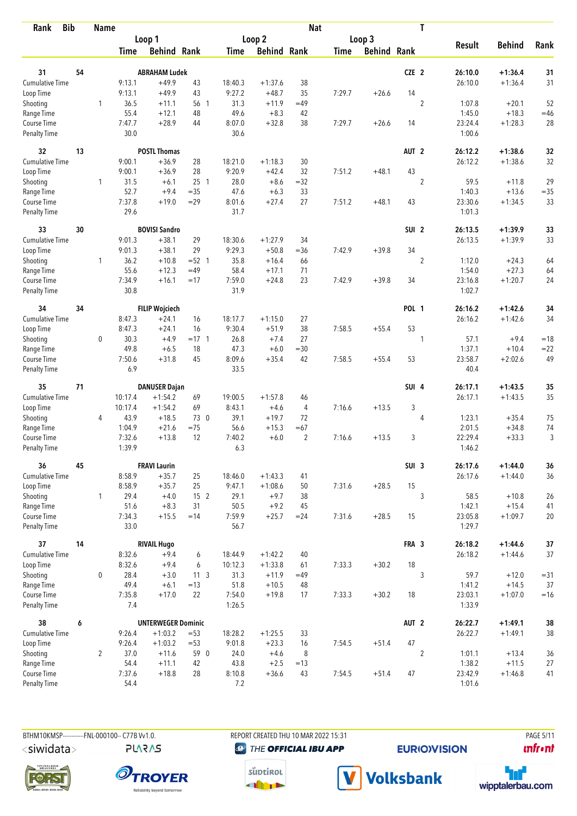| <b>Bib</b><br>Rank                 |    | <b>Name</b>    |                |                           |                 |                |                    | <b>Nat</b>     |             |                    |                  | T              |                   |               |        |
|------------------------------------|----|----------------|----------------|---------------------------|-----------------|----------------|--------------------|----------------|-------------|--------------------|------------------|----------------|-------------------|---------------|--------|
|                                    |    |                |                | Loop 1                    |                 |                | Loop <sub>2</sub>  |                |             | Loop 3             |                  |                |                   |               |        |
|                                    |    |                | <b>Time</b>    | <b>Behind Rank</b>        |                 | Time           | <b>Behind Rank</b> |                | <b>Time</b> | <b>Behind Rank</b> |                  |                | <b>Result</b>     | <b>Behind</b> | Rank   |
| 31                                 | 54 |                |                | <b>ABRAHAM Ludek</b>      |                 |                |                    |                |             |                    | CZE <sub>2</sub> |                | 26:10.0           | $+1:36.4$     | 31     |
| Cumulative Time                    |    |                | 9:13.1         | $+49.9$                   | 43              | 18:40.3        | $+1:37.6$          | 38             |             |                    |                  |                | 26:10.0           | $+1:36.4$     | 31     |
|                                    |    |                | 9:13.1         | $+49.9$                   | 43              | 9:27.2         | $+48.7$            | 35             | 7:29.7      | $+26.6$            | 14               |                |                   |               |        |
| Loop Time                          |    | 1              | 36.5           |                           |                 | 31.3           | $+11.9$            | $=49$          |             |                    |                  | $\overline{2}$ | 1:07.8            | $+20.1$       | 52     |
| Shooting<br>Range Time             |    |                | 55.4           | $+11.1$<br>$+12.1$        | 56 1<br>48      | 49.6           | $+8.3$             | 42             |             |                    |                  |                | 1:45.0            | $+18.3$       | $=46$  |
| Course Time                        |    |                | 7:47.7         | $+28.9$                   | 44              | 8:07.0         | $+32.8$            | 38             | 7:29.7      | $+26.6$            | 14               |                | 23:24.4           | $+1:28.3$     | 28     |
| <b>Penalty Time</b>                |    |                | 30.0           |                           |                 | 30.6           |                    |                |             |                    |                  |                | 1:00.6            |               |        |
| 32                                 | 13 |                |                | <b>POSTL Thomas</b>       |                 |                |                    |                |             |                    | AUT <sub>2</sub> |                | 26:12.2           | $+1:38.6$     | 32     |
| Cumulative Time                    |    |                | 9:00.1         | $+36.9$                   | 28              | 18:21.0        | $+1:18.3$          | 30             |             |                    |                  |                | 26:12.2           | $+1:38.6$     | 32     |
| Loop Time                          |    |                | 9:00.1         | $+36.9$                   | 28              | 9:20.9         | $+42.4$            | 32             | 7:51.2      | $+48.1$            | 43               |                |                   |               |        |
| Shooting                           |    | 1              | 31.5           | $+6.1$                    | 25 <sub>1</sub> | 28.0           | $+8.6$             | $=32$          |             |                    |                  | $\overline{2}$ | 59.5              | $+11.8$       | 29     |
| Range Time                         |    |                | 52.7           | $+9.4$                    | $=35$           | 47.6           | $+6.3$             | 33             |             |                    |                  |                | 1:40.3            | $+13.6$       | $=35$  |
| Course Time                        |    |                | 7:37.8         | $+19.0$                   | $=29$           | 8:01.6         | $+27.4$            | 27             | 7:51.2      | $+48.1$            | 43               |                | 23:30.6           | $+1:34.5$     | 33     |
| <b>Penalty Time</b>                |    |                | 29.6           |                           |                 | 31.7           |                    |                |             |                    |                  |                | 1:01.3            |               |        |
| 33                                 | 30 |                |                | <b>BOVISI Sandro</b>      |                 |                |                    |                |             |                    | SUI <sub>2</sub> |                | 26:13.5           | $+1:39.9$     | 33     |
| Cumulative Time                    |    |                | 9:01.3         | $+38.1$                   | 29              | 18:30.6        | $+1:27.9$          | 34             |             |                    |                  |                | 26:13.5           | $+1:39.9$     | 33     |
| Loop Time                          |    |                | 9:01.3         | $+38.1$                   | 29              | 9:29.3         | $+50.8$            | $= 36$         | 7:42.9      | $+39.8$            | 34               |                |                   |               |        |
| Shooting                           |    | $\mathbf{1}$   | 36.2           | $+10.8$                   | $= 52 \quad 1$  | 35.8           | $+16.4$            | 66             |             |                    |                  | $\overline{c}$ | 1:12.0            | $+24.3$       | 64     |
| Range Time                         |    |                | 55.6           | $+12.3$                   | $=49$           | 58.4           | $+17.1$            | 71             |             |                    |                  |                | 1:54.0            | $+27.3$       | 64     |
| Course Time<br><b>Penalty Time</b> |    |                | 7:34.9<br>30.8 | $+16.1$                   | $=17$           | 7:59.0<br>31.9 | $+24.8$            | 23             | 7:42.9      | $+39.8$            | 34               |                | 23:16.8<br>1:02.7 | $+1:20.7$     | 24     |
| 34                                 | 34 |                |                | <b>FILIP Wojciech</b>     |                 |                |                    |                |             |                    | <b>POL 1</b>     |                | 26:16.2           | $+1:42.6$     | 34     |
| Cumulative Time                    |    |                | 8:47.3         | $+24.1$                   | 16              | 18:17.7        | $+1:15.0$          | 27             |             |                    |                  |                | 26:16.2           | $+1:42.6$     | 34     |
| Loop Time                          |    |                | 8:47.3         | $+24.1$                   | 16              | 9:30.4         | $+51.9$            | 38             | 7:58.5      | $+55.4$            | 53               |                |                   |               |        |
| Shooting                           |    | 0              | 30.3           | $+4.9$                    | $= 17 \quad 1$  | 26.8           | $+7.4$             | 27             |             |                    |                  | 1              | 57.1              | $+9.4$        | $=18$  |
| Range Time                         |    |                | 49.8           | $+6.5$                    | 18              | 47.3           | $+6.0$             | $= 30$         |             |                    |                  |                | 1:37.1            | $+10.4$       | $= 22$ |
| Course Time                        |    |                | 7:50.6         | $+31.8$                   | 45              | 8:09.6         | $+35.4$            | 42             | 7:58.5      | $+55.4$            | 53               |                | 23:58.7           | $+2:02.6$     | 49     |
| <b>Penalty Time</b>                |    |                | 6.9            |                           |                 | 33.5           |                    |                |             |                    |                  |                | 40.4              |               |        |
| 35                                 | 71 |                |                | <b>DANUSER Dajan</b>      |                 |                |                    |                |             |                    | SUI 4            |                | 26:17.1           | $+1:43.5$     | 35     |
| Cumulative Time                    |    |                | 10:17.4        | $+1:54.2$                 | 69              | 19:00.5        | $+1:57.8$          | 46             |             |                    |                  |                | 26:17.1           | $+1:43.5$     | 35     |
| Loop Time                          |    |                | 10:17.4        | $+1:54.2$                 | 69              | 8:43.1         | $+4.6$             | 4              | 7:16.6      | $+13.5$            | 3                |                |                   |               |        |
| Shooting                           |    | 4              | 43.9           | $+18.5$                   | 73 0            | 39.1           | $+19.7$            | 72             |             |                    |                  | 4              | 1:23.1            | $+35.4$       | 75     |
| Range Time                         |    |                | 1:04.9         | $+21.6$                   | $=75$           | 56.6           | $+15.3$            | $=67$          |             |                    |                  |                | 2:01.5            | $+34.8$       | 74     |
| Course Time                        |    |                | 7:32.6         | $+13.8$                   | 12              | 7:40.2         | $+6.0$             | $\overline{2}$ | 7:16.6      | $+13.5$            | 3                |                | 22:29.4           | $+33.3$       | 3      |
| <b>Penalty Time</b>                |    |                | 1:39.9         |                           |                 | 6.3            |                    |                |             |                    |                  |                | 1:46.2            |               |        |
| 36                                 | 45 |                |                | <b>FRAVI Laurin</b>       |                 |                |                    |                |             |                    | SUI <sub>3</sub> |                | 26:17.6           | $+1:44.0$     | 36     |
| <b>Cumulative Time</b>             |    |                | 8:58.9         | $+35.7$                   | 25              | 18:46.0        | $+1:43.3$          | 41             |             |                    |                  |                | 26:17.6           | $+1:44.0$     | 36     |
| Loop Time                          |    |                | 8:58.9         | $+35.7$                   | 25              | 9:47.1         | $+1:08.6$          | 50             | 7:31.6      | $+28.5$            | 15               |                |                   |               |        |
| Shooting                           |    | $\mathbf{1}$   | 29.4           | $+4.0$                    | 15 2            | 29.1           | $+9.7$             | 38             |             |                    |                  | 3              | 58.5              | $+10.8$       | 26     |
| Range Time                         |    |                | 51.6           | $+8.3$                    | 31              | 50.5           | $+9.2$             | 45             |             |                    |                  |                | 1:42.1            | $+15.4$       | 41     |
| Course Time<br>Penalty Time        |    |                | 7:34.3<br>33.0 | $+15.5$                   | $=14$           | 7:59.9<br>56.7 | $+25.7$            | $= 24$         | 7:31.6      | $+28.5$            | 15               |                | 23:05.8<br>1:29.7 | $+1:09.7$     | 20     |
| 37                                 | 14 |                |                | <b>RIVAIL Hugo</b>        |                 |                |                    |                |             |                    | FRA 3            |                | 26:18.2           | $+1:44.6$     | $37\,$ |
| <b>Cumulative Time</b>             |    |                | 8:32.6         | $+9.4$                    | 6               | 18:44.9        | $+1:42.2$          | 40             |             |                    |                  |                | 26:18.2           | $+1:44.6$     | 37     |
| Loop Time                          |    |                | 8:32.6         | $+9.4$                    | 6               | 10:12.3        | $+1:33.8$          | 61             | 7:33.3      | $+30.2$            | 18               |                |                   |               |        |
| Shooting                           |    | 0              | 28.4           | $+3.0$                    | 11 <sub>3</sub> | 31.3           | $+11.9$            | $=49$          |             |                    |                  | 3              | 59.7              | $+12.0$       | $= 31$ |
| Range Time                         |    |                | 49.4           | $+6.1$                    | $=13$           | 51.8           | $+10.5$            | 48             |             |                    |                  |                | 1:41.2            | $+14.5$       | 37     |
| Course Time                        |    |                | 7:35.8         | $+17.0$                   | 22              | 7:54.0         | $+19.8$            | 17             | 7:33.3      | $+30.2$            | 18               |                | 23:03.1           | $+1:07.0$     | $=16$  |
| Penalty Time                       |    |                | 7.4            |                           |                 | 1:26.5         |                    |                |             |                    |                  |                | 1:33.9            |               |        |
| 38                                 | 6  |                |                | <b>UNTERWEGER Dominic</b> |                 |                |                    |                |             |                    | AUT <sub>2</sub> |                | 26:22.7           | $+1:49.1$     | 38     |
| Cumulative Time                    |    |                | 9:26.4         | $+1:03.2$                 | $= 53$          | 18:28.2        | $+1:25.5$          | 33             |             |                    |                  |                | 26:22.7           | $+1:49.1$     | $38\,$ |
| Loop Time                          |    |                | 9:26.4         | $+1:03.2$                 | $= 53$          | 9:01.8         | $+23.3$            | 16             | 7:54.5      | $+51.4$            | 47               |                |                   |               |        |
| Shooting                           |    | $\overline{2}$ | 37.0           | $+11.6$                   | 59 0            | 24.0           | $+4.6$             | 8              |             |                    |                  | $\overline{2}$ | 1:01.1            | $+13.4$       | 36     |
| Range Time                         |    |                | 54.4           | $+11.1$                   | 42              | 43.8           | $+2.5$             | $=13$          |             |                    |                  |                | 1:38.2            | $+11.5$       | 27     |
| Course Time                        |    |                | 7:37.6         | $+18.8$                   | 28              | 8:10.8         | $+36.6$            | 43             | 7:54.5      | $+51.4$            | 47               |                | 23:42.9           | $+1:46.8$     | 41     |
| Penalty Time                       |    |                | 54.4           |                           |                 | 7.2            |                    |                |             |                    |                  |                | 1:01.6            |               |        |

BTHM10KMSP-----------FNL-000100-- C77B Vv1.0. <siwidata>

**PLARAS** 

REPORT CREATED THU 10 MAR 2022 15:31 **@** THE OFFICIAL IBU APP

**EURIO)VISION** 

**PAGE 5/11** *<u><u>Infront</u>*</u>









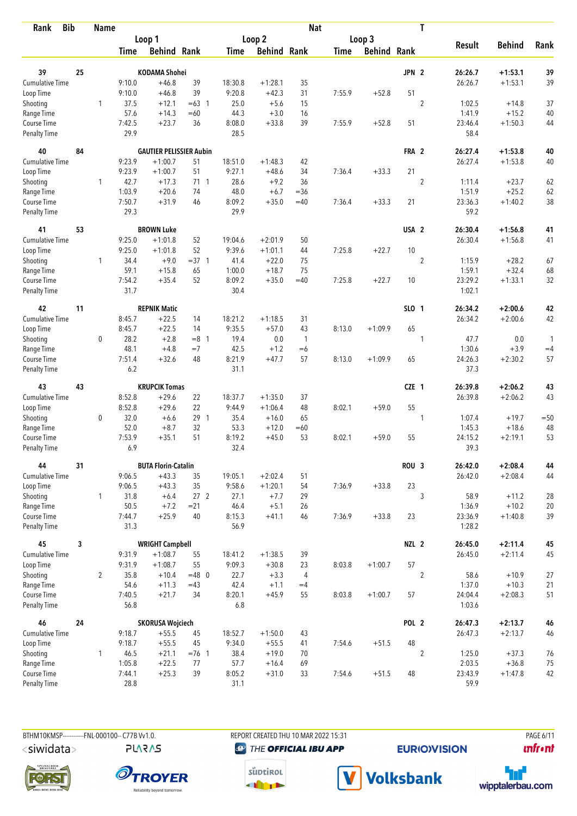| <b>Bib</b><br>Rank          |              | <b>Name</b>    |                |                                |                 |                |                    | <b>Nat</b>     |             |                    |                  | T              |                   |               |              |
|-----------------------------|--------------|----------------|----------------|--------------------------------|-----------------|----------------|--------------------|----------------|-------------|--------------------|------------------|----------------|-------------------|---------------|--------------|
|                             |              |                |                | Loop 1                         |                 |                | Loop 2             |                |             | Loop 3             |                  |                |                   |               |              |
|                             |              |                | Time           | <b>Behind Rank</b>             |                 | Time           | <b>Behind Rank</b> |                | <b>Time</b> | <b>Behind Rank</b> |                  |                | <b>Result</b>     | <b>Behind</b> | Rank         |
| 39                          | 25           |                |                | <b>KODAMA Shohei</b>           |                 |                |                    |                |             |                    | JPN <sub>2</sub> |                | 26:26.7           | $+1:53.1$     | 39           |
| Cumulative Time             |              |                | 9:10.0         | $+46.8$                        | 39              | 18:30.8        | $+1:28.1$          | 35             |             |                    |                  |                | 26:26.7           | $+1:53.1$     | 39           |
| Loop Time                   |              |                | 9:10.0         | $+46.8$                        | 39              | 9:20.8         | $+42.3$            | 31             | 7:55.9      | $+52.8$            | 51               |                |                   |               |              |
| Shooting                    |              | 1              | 37.5           | $+12.1$                        | $=63$ 1         | 25.0           | $+5.6$             | 15             |             |                    |                  | $\overline{c}$ | 1:02.5            | $+14.8$       | 37           |
| Range Time                  |              |                | 57.6           | $+14.3$                        | $=60$           | 44.3           | $+3.0$             | 16             |             |                    |                  |                | 1:41.9            | $+15.2$       | 40           |
| Course Time                 |              |                | 7:42.5         | $+23.7$                        | 36              | 8:08.0         | $+33.8$            | 39             | 7:55.9      | $+52.8$            | 51               |                | 23:46.4           | $+1:50.3$     | 44           |
| <b>Penalty Time</b>         |              |                | 29.9           |                                |                 | 28.5           |                    |                |             |                    |                  |                | 58.4              |               |              |
| 40                          | 84           |                |                | <b>GAUTIER PELISSIER Aubin</b> |                 |                |                    |                |             |                    | FRA 2            |                | 26:27.4           | $+1:53.8$     | 40           |
| <b>Cumulative Time</b>      |              |                | 9:23.9         | $+1:00.7$                      | 51              | 18:51.0        | $+1:48.3$          | 42             |             |                    |                  |                | 26:27.4           | $+1:53.8$     | 40           |
| Loop Time                   |              |                | 9:23.9         | $+1:00.7$                      | 51              | 9:27.1         | $+48.6$            | 34             | 7:36.4      | $+33.3$            | 21               |                |                   |               |              |
| Shooting                    |              | 1              | 42.7           | $+17.3$                        | $71 \quad 1$    | 28.6           | $+9.2$             | 36             |             |                    |                  | $\overline{2}$ | 1:11.4            | $+23.7$       | 62           |
| Range Time                  |              |                | 1:03.9         | $+20.6$                        | 74              | 48.0           | $+6.7$             | $=$ 36         |             |                    |                  |                | 1:51.9            | $+25.2$       | 62           |
| Course Time                 |              |                | 7:50.7         | $+31.9$                        | 46              | 8:09.2         | $+35.0$            | $=40$          | 7:36.4      | $+33.3$            | 21               |                | 23:36.3           | $+1:40.2$     | 38           |
| Penalty Time                |              |                | 29.3           |                                |                 | 29.9           |                    |                |             |                    |                  |                | 59.2              |               |              |
| 41                          | 53           |                |                | <b>BROWN Luke</b>              |                 |                |                    |                |             |                    | USA <sub>2</sub> |                | 26:30.4           | $+1:56.8$     | 41           |
| Cumulative Time             |              |                | 9:25.0         | $+1:01.8$                      | 52              | 19:04.6        | $+2:01.9$          | 50             |             |                    |                  |                | 26:30.4           | $+1:56.8$     | 41           |
| Loop Time                   |              |                | 9:25.0         | $+1:01.8$                      | 52              | 9:39.6         | $+1:01.1$          | 44             | 7:25.8      | $+22.7$            | 10               |                |                   |               |              |
| Shooting                    |              | 1              | 34.4           | $+9.0$                         | $=37.1$         | 41.4           | $+22.0$            | 75             |             |                    |                  | $\overline{2}$ | 1:15.9            | $+28.2$       | 67           |
| Range Time                  |              |                | 59.1           | $+15.8$                        | 65              | 1:00.0         | $+18.7$            | 75             |             |                    |                  |                | 1:59.1            | $+32.4$       | 68           |
| Course Time                 |              |                | 7:54.2         | $+35.4$                        | 52              | 8:09.2         | $+35.0$            | $=40$          | 7:25.8      | $+22.7$            | 10               |                | 23:29.2           | $+1:33.1$     | 32           |
| <b>Penalty Time</b>         |              |                | 31.7           |                                |                 | 30.4           |                    |                |             |                    |                  |                | 1:02.1            |               |              |
| 42                          | 11           |                |                | <b>REPNIK Matic</b>            |                 |                |                    |                |             |                    | SLO 1            |                | 26:34.2           | $+2:00.6$     | 42           |
| Cumulative Time             |              |                | 8:45.7         | $+22.5$                        | 14              | 18:21.2        | $+1:18.5$          | 31             |             |                    |                  |                | 26:34.2           | $+2:00.6$     | 42           |
| Loop Time                   |              |                | 8:45.7         | $+22.5$                        | 14              | 9:35.5         | $+57.0$            | 43             | 8:13.0      | $+1:09.9$          | 65               |                |                   |               |              |
| Shooting                    |              | 0              | 28.2           | $+2.8$                         | $=8$ 1          | 19.4           | 0.0                | $\overline{1}$ |             |                    |                  | 1              | 47.7              | 0.0           | $\mathbf{1}$ |
| Range Time                  |              |                | 48.1           | $+4.8$                         | $=7$            | 42.5           | $+1.2$             | $=6$           |             |                    |                  |                | 1:30.6            | $+3.9$        | $=4$         |
| Course Time                 |              |                | 7:51.4         | $+32.6$                        | 48              | 8:21.9         | $+47.7$            | 57             | 8:13.0      | $+1:09.9$          | 65               |                | 24:26.3           | $+2:30.2$     | 57           |
| <b>Penalty Time</b>         |              |                | 6.2            |                                |                 | 31.1           |                    |                |             |                    |                  |                | 37.3              |               |              |
| 43                          | 43           |                |                | <b>KRUPCIK Tomas</b>           |                 |                |                    |                |             |                    | CZE 1            |                | 26:39.8           | $+2:06.2$     | 43           |
| <b>Cumulative Time</b>      |              |                | 8:52.8         | $+29.6$                        | 22              | 18:37.7        | $+1:35.0$          | 37             |             |                    |                  |                | 26:39.8           | $+2:06.2$     | 43           |
| Loop Time                   |              |                | 8:52.8         | $+29.6$                        | 22              | 9:44.9         | $+1:06.4$          | 48             | 8:02.1      | $+59.0$            | 55               |                |                   |               |              |
| Shooting                    |              | 0              | 32.0           | $+6.6$                         | 29 1            | 35.4           | $+16.0$            | 65             |             |                    |                  | 1              | 1:07.4            | $+19.7$       | $=50$        |
| Range Time                  |              |                | 52.0           | $+8.7$                         | 32              | 53.3           | $+12.0$            | $=60$          |             |                    |                  |                | 1:45.3            | $+18.6$       | 48           |
| Course Time                 |              |                | 7:53.9         | $+35.1$                        | 51              | 8:19.2         | $+45.0$            | 53             | 8:02.1      | $+59.0$            | 55               |                | 24:15.2           | $+2:19.1$     | 53           |
| <b>Penalty Time</b>         |              |                | 6.9            |                                |                 | 32.4           |                    |                |             |                    |                  |                | 39.3              |               |              |
| 44                          | 31           |                |                | <b>BUTA Florin-Catalin</b>     |                 |                |                    |                |             |                    | ROU <sub>3</sub> |                | 26:42.0           | $+2:08.4$     | 44           |
| <b>Cumulative Time</b>      |              |                | 9:06.5         | $+43.3$                        | 35              | 19:05.1        | $+2:02.4$          | 51             |             |                    |                  |                | 26:42.0           | $+2:08.4$     | 44           |
| Loop Time                   |              |                | 9:06.5         | $+43.3$                        | 35              | 9:58.6         | $+1:20.1$          | 54             | 7:36.9      | $+33.8$            | 23               |                |                   |               |              |
| Shooting                    |              | $\mathbf{1}$   | 31.8           | $+6.4$                         | 27 <sub>2</sub> | 27.1           | $+7.7$             | 29             |             |                    |                  | 3              | 58.9              | $+11.2$       | 28           |
| Range Time                  |              |                | 50.5           | $+7.2$                         | $= 21$          | 46.4           | $+5.1$             | 26             |             |                    |                  |                | 1:36.9            | $+10.2$       | 20           |
| Course Time<br>Penalty Time |              |                | 7:44.7<br>31.3 | $+25.9$                        | 40              | 8:15.3<br>56.9 | $+41.1$            | 46             | 7:36.9      | $+33.8$            | 23               |                | 23:36.9<br>1:28.2 | $+1:40.8$     | 39           |
| 45                          | $\mathbf{3}$ |                |                | <b>WRIGHT Campbell</b>         |                 |                |                    |                |             |                    | NZL <sub>2</sub> |                | 26:45.0           | $+2:11.4$     | 45           |
| Cumulative Time             |              |                | 9:31.9         | $+1:08.7$                      | 55              | 18:41.2        | $+1:38.5$          | 39             |             |                    |                  |                | 26:45.0           | $+2:11.4$     | 45           |
| Loop Time                   |              |                | 9:31.9         | $+1:08.7$                      | 55              | 9:09.3         | $+30.8$            | 23             | 8:03.8      | $+1:00.7$          | 57               |                |                   |               |              |
| Shooting                    |              | $\overline{2}$ | 35.8           | $+10.4$                        | $=48$ 0         | 22.7           | $+3.3$             | 4              |             |                    |                  | $\sqrt{2}$     | 58.6              | $+10.9$       | $27\,$       |
| Range Time                  |              |                | 54.6           | $+11.3$                        | $=43$           | 42.4           | $+1.1$             | $=4$           |             |                    |                  |                | 1:37.0            | $+10.3$       | 21           |
| Course Time                 |              |                | 7:40.5         | $+21.7$                        | 34              | 8:20.1         | $+45.9$            | 55             | 8:03.8      | $+1:00.7$          | 57               |                | 24:04.4           | $+2:08.3$     | 51           |
| <b>Penalty Time</b>         |              |                | 56.8           |                                |                 | 6.8            |                    |                |             |                    |                  |                | 1:03.6            |               |              |
| 46                          | 24           |                |                | <b>SKORUSA Wojciech</b>        |                 |                |                    |                |             |                    | POL 2            |                | 26:47.3           | $+2:13.7$     | 46           |
| <b>Cumulative Time</b>      |              |                | 9:18.7         | $+55.5$                        | 45              | 18:52.7        | $+1:50.0$          | 43             |             |                    |                  |                | 26:47.3           | $+2:13.7$     | 46           |
| Loop Time                   |              |                | 9:18.7         | $+55.5$                        | 45              | 9:34.0         | $+55.5$            | 41             | 7:54.6      | $+51.5$            | 48               |                |                   |               |              |
| Shooting                    |              | 1              | 46.5           | $+21.1$                        | $=76$ 1         | 38.4           | $+19.0$            | 70             |             |                    |                  | $\overline{2}$ | 1:25.0            | $+37.3$       | 76           |
| Range Time                  |              |                | 1:05.8         | $+22.5$                        | 77              | 57.7           | $+16.4$            | 69             |             |                    |                  |                | 2:03.5            | $+36.8$       | 75           |
| Course Time                 |              |                | 7:44.1         | $+25.3$                        | 39              | 8:05.2         | $+31.0$            | 33             | 7:54.6      | $+51.5$            | 48               |                | 23:43.9           | $+1:47.8$     | 42           |
| Penalty Time                |              |                | 28.8           |                                |                 | 31.1           |                    |                |             |                    |                  |                | 59.9              |               |              |

**PLARAS** 

BTHM10KMSP-----------FNL-000100-- C77B Vv1.0. REPORT CREATED THU 10 MAR 2022 15:31 PAGE 6/11 **@** THE OFFICIAL IBU APP

**EURIO)VISION** 

*<u><u>Infront</u>*</u>









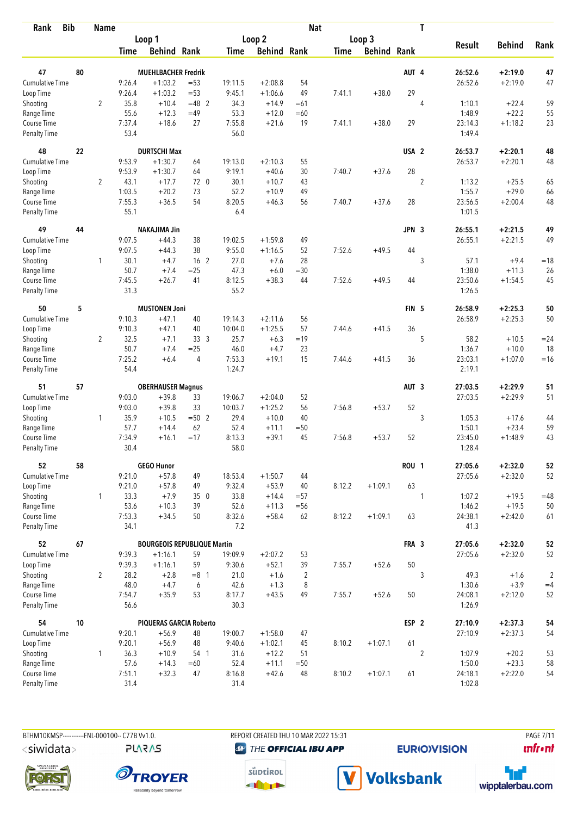| <b>Bib</b><br>Rank                 |    | <b>Name</b>    |                |                                    |                  |               |                    | <b>Nat</b>          |             |                    |                  | T              |                 |                    |                    |
|------------------------------------|----|----------------|----------------|------------------------------------|------------------|---------------|--------------------|---------------------|-------------|--------------------|------------------|----------------|-----------------|--------------------|--------------------|
|                                    |    |                |                | Loop 1                             |                  |               | Loop 2             |                     |             | Loop 3             |                  |                |                 |                    |                    |
|                                    |    |                | <b>Time</b>    | <b>Behind Rank</b>                 |                  | Time          | <b>Behind Rank</b> |                     | <b>Time</b> | <b>Behind Rank</b> |                  |                | <b>Result</b>   | <b>Behind</b>      | Rank               |
| 47                                 | 80 |                |                | <b>MUEHLBACHER Fredrik</b>         |                  |               |                    |                     |             |                    | AUT 4            |                | 26:52.6         | $+2:19.0$          | 47                 |
| <b>Cumulative Time</b>             |    |                | 9:26.4         | $+1:03.2$                          | $= 53$           | 19:11.5       | $+2:08.8$          | 54                  |             |                    |                  |                | 26:52.6         | $+2:19.0$          | 47                 |
|                                    |    |                | 9:26.4         | $+1:03.2$                          | $= 53$           | 9:45.1        | $+1:06.6$          | 49                  | 7:41.1      | $+38.0$            | 29               |                |                 |                    |                    |
| Loop Time                          |    |                |                |                                    |                  |               |                    |                     |             |                    |                  |                | 1:10.1          |                    |                    |
| Shooting                           |    | $\overline{2}$ | 35.8<br>55.6   | $+10.4$                            | $=48$ 2<br>$=49$ | 34.3<br>53.3  | $+14.9$            | $=61$<br>$=60$      |             |                    |                  | $\overline{4}$ | 1:48.9          | $+22.4$<br>$+22.2$ | 59                 |
| Range Time<br>Course Time          |    |                | 7:37.4         | $+12.3$<br>$+18.6$                 | 27               | 7:55.8        | $+12.0$<br>$+21.6$ | 19                  | 7:41.1      | $+38.0$            | 29               |                | 23:14.3         | $+1:18.2$          | 55<br>23           |
| <b>Penalty Time</b>                |    |                | 53.4           |                                    |                  | 56.0          |                    |                     |             |                    |                  |                | 1:49.4          |                    |                    |
| 48                                 | 22 |                |                | <b>DURTSCHI Max</b>                |                  |               |                    |                     |             |                    | USA <sub>2</sub> |                | 26:53.7         | $+2:20.1$          | 48                 |
| <b>Cumulative Time</b>             |    |                | 9:53.9         | $+1:30.7$                          | 64               | 19:13.0       | $+2:10.3$          | 55                  |             |                    |                  |                | 26:53.7         | $+2:20.1$          | 48                 |
| Loop Time                          |    |                | 9:53.9         | $+1:30.7$                          | 64               | 9:19.1        | $+40.6$            | 30                  | 7:40.7      | $+37.6$            | 28               |                |                 |                    |                    |
| Shooting                           |    | $\overline{2}$ | 43.1           | $+17.7$                            | 72 0             | 30.1          | $+10.7$            | 43                  |             |                    |                  | $\overline{2}$ | 1:13.2          | $+25.5$            | 65                 |
| Range Time                         |    |                | 1:03.5         | $+20.2$                            | 73               | 52.2          | $+10.9$            | 49                  |             |                    |                  |                | 1:55.7          | $+29.0$            | 66                 |
| Course Time                        |    |                | 7:55.3         | $+36.5$                            | 54               | 8:20.5        | $+46.3$            | 56                  | 7:40.7      | $+37.6$            | 28               |                | 23:56.5         | $+2:00.4$          | 48                 |
| Penalty Time                       |    |                | 55.1           |                                    |                  | 6.4           |                    |                     |             |                    |                  |                | 1:01.5          |                    |                    |
| 49                                 | 44 |                |                | <b>NAKAJIMA Jin</b>                |                  |               |                    |                     |             |                    | JPN 3            |                | 26:55.1         | $+2:21.5$          | 49                 |
| Cumulative Time                    |    |                | 9:07.5         | $+44.3$                            | 38               | 19:02.5       | $+1:59.8$          | 49                  |             |                    |                  |                | 26:55.1         | $+2:21.5$          | 49                 |
| Loop Time                          |    |                | 9:07.5         | $+44.3$                            | 38               | 9:55.0        | $+1:16.5$          | 52                  | 7:52.6      | $+49.5$            | 44               |                |                 |                    |                    |
| Shooting                           |    | 1              | 30.1           | $+4.7$                             | 16 <sub>2</sub>  | 27.0          | $+7.6$             | 28                  |             |                    |                  | 3              | 57.1            | $+9.4$             | $=18$              |
| Range Time                         |    |                | 50.7           | $+7.4$                             | $=25$            | 47.3          | $+6.0$             | $=30$               |             |                    |                  |                | 1:38.0          | $+11.3$            | 26                 |
| Course Time                        |    |                | 7:45.5         | $+26.7$                            | 41               | 8:12.5        | $+38.3$            | 44                  | 7:52.6      | $+49.5$            | 44               |                | 23:50.6         | $+1:54.5$          | 45                 |
| <b>Penalty Time</b>                |    |                | 31.3           |                                    |                  | 55.2          |                    |                     |             |                    |                  |                | 1:26.5          |                    |                    |
| 50                                 | 5  |                |                | <b>MUSTONEN Joni</b>               |                  |               |                    |                     |             |                    | FIN <sub>5</sub> |                | 26:58.9         | $+2:25.3$          | 50                 |
| Cumulative Time                    |    |                | 9:10.3         | $+47.1$                            | 40               | 19:14.3       | $+2:11.6$          | 56                  |             |                    |                  |                | 26:58.9         | $+2:25.3$          | 50                 |
| Loop Time                          |    |                | 9:10.3         | $+47.1$                            | 40               | 10:04.0       | $+1:25.5$          | 57                  | 7:44.6      | $+41.5$            | 36               |                |                 |                    |                    |
| Shooting                           |    | $\overline{2}$ | 32.5           | $+7.1$                             | 33 <sup>3</sup>  | 25.7          | $+6.3$             | $=19$               |             |                    |                  | 5              | 58.2            | $+10.5$            | $= 24$             |
| Range Time                         |    |                | 50.7           | $+7.4$                             | $=25$            | 46.0          | $+4.7$             | 23                  |             |                    |                  |                | 1:36.7          | $+10.0$            | 18                 |
| Course Time                        |    |                | 7:25.2         | $+6.4$                             | 4                | 7:53.3        | $+19.1$            | 15                  | 7:44.6      | $+41.5$            | 36               |                | 23:03.1         | $+1:07.0$          | $=16$              |
| <b>Penalty Time</b>                |    |                | 54.4           |                                    |                  | 1:24.7        |                    |                     |             |                    |                  |                | 2:19.1          |                    |                    |
| 51                                 | 57 |                |                | <b>OBERHAUSER Magnus</b>           |                  |               |                    |                     |             |                    | AUT <sub>3</sub> |                | 27:03.5         | $+2:29.9$          | 51                 |
| <b>Cumulative Time</b>             |    |                | 9:03.0         | $+39.8$                            | 33               | 19:06.7       | $+2:04.0$          | 52                  |             |                    |                  |                | 27:03.5         | $+2:29.9$          | 51                 |
| Loop Time                          |    |                | 9:03.0         | $+39.8$                            | 33               | 10:03.7       | $+1:25.2$          | 56                  | 7:56.8      | $+53.7$            | 52               |                |                 |                    |                    |
| Shooting                           |    | $\mathbf{1}$   | 35.9           | $+10.5$                            | $=50$ 2          | 29.4          | $+10.0$            | 40                  |             |                    |                  | 3              | 1:05.3          | $+17.6$            | 44                 |
| Range Time                         |    |                | 57.7           | $+14.4$                            | 62               | 52.4          | $+11.1$            | $=50$               |             |                    |                  |                | 1:50.1          | $+23.4$            | 59                 |
| Course Time                        |    |                | 7:34.9         | $+16.1$                            | $=17$            | 8:13.3        | $+39.1$            | 45                  | 7:56.8      | $+53.7$            | 52               |                | 23:45.0         | $+1:48.9$          | 43                 |
| <b>Penalty Time</b>                |    |                | 30.4           |                                    |                  | 58.0          |                    |                     |             |                    |                  |                | 1:28.4          |                    |                    |
| 52                                 | 58 |                |                | <b>GEGO Hunor</b>                  |                  |               |                    |                     |             |                    | <b>ROU 1</b>     |                | 27:05.6         | $+2:32.0$          | 52                 |
| <b>Cumulative Time</b>             |    |                | 9:21.0         | $+57.8$                            | 49               | 18:53.4       | $+1:50.7$          | 44                  |             |                    |                  |                | 27:05.6         | $+2:32.0$          | 52                 |
| Loop Time                          |    |                | 9:21.0         | $+57.8$                            | 49               | 9:32.4        | $+53.9$            | 40                  | 8:12.2      | $+1:09.1$          | 63               |                |                 |                    |                    |
| Shooting                           |    | $\mathbf{1}$   | 33.3           | $+7.9$                             | 35 0             | 33.8          | $+14.4$            | $= 57$              |             |                    |                  | 1              | 1:07.2          | $+19.5$            | $=48$              |
| Range Time                         |    |                | 53.6           | $+10.3$                            | 39               | 52.6          | $+11.3$            | $= 56$              |             |                    |                  |                | 1:46.2          | $+19.5$            | 50                 |
| Course Time<br><b>Penalty Time</b> |    |                | 7:53.3<br>34.1 | $+34.5$                            | 50               | 8:32.6<br>7.2 | $+58.4$            | 62                  | 8:12.2      | $+1:09.1$          | 63               |                | 24:38.1<br>41.3 | $+2:42.0$          | 61                 |
| 52                                 | 67 |                |                | <b>BOURGEOIS REPUBLIQUE Martin</b> |                  |               |                    |                     |             |                    | FRA 3            |                | 27:05.6         | $+2:32.0$          | 52                 |
| <b>Cumulative Time</b>             |    |                | 9:39.3         | $+1:16.1$                          | 59               | 19:09.9       | $+2:07.2$          | 53                  |             |                    |                  |                | 27:05.6         | $+2:32.0$          | 52                 |
| Loop Time                          |    |                | 9:39.3         | $+1:16.1$                          | 59               | 9:30.6        | $+52.1$            | 39                  | 7:55.7      | $+52.6$            | 50               |                |                 |                    |                    |
|                                    |    |                | 28.2           | $+2.8$                             | $=8$ 1           |               | $+1.6$             |                     |             |                    |                  | 3              |                 |                    |                    |
| Shooting<br>Range Time             |    | $\overline{2}$ | 48.0           | $+4.7$                             | 6                | 21.0<br>42.6  | $+1.3$             | $\overline{2}$<br>8 |             |                    |                  |                | 49.3<br>1:30.6  | $+1.6$<br>$+3.9$   | $\sqrt{2}$<br>$=4$ |
| Course Time                        |    |                | 7:54.7         | $+35.9$                            | 53               | 8:17.7        | $+43.5$            | 49                  | 7:55.7      | $+52.6$            | 50               |                | 24:08.1         | $+2:12.0$          | 52                 |
| Penalty Time                       |    |                | 56.6           |                                    |                  | 30.3          |                    |                     |             |                    |                  |                | 1:26.9          |                    |                    |
| 54                                 | 10 |                |                | PIQUERAS GARCIA Roberto            |                  |               |                    |                     |             |                    | ESP <sub>2</sub> |                | 27:10.9         | $+2:37.3$          | 54                 |
| <b>Cumulative Time</b>             |    |                | 9:20.1         | $+56.9$                            | 48               | 19:00.7       | $+1:58.0$          | 47                  |             |                    |                  |                | 27:10.9         | $+2:37.3$          | 54                 |
| Loop Time                          |    |                | 9:20.1         | $+56.9$                            | 48               | 9:40.6        | $+1:02.1$          | 45                  | 8:10.2      | $+1:07.1$          | 61               |                |                 |                    |                    |
| Shooting                           |    | $\mathbf{1}$   | 36.3           | $+10.9$                            | 54 1             | 31.6          | $+12.2$            | 51                  |             |                    |                  | $\overline{2}$ | 1:07.9          | $+20.2$            | 53                 |
| Range Time                         |    |                | 57.6           | $+14.3$                            | $=60$            | 52.4          | $+11.1$            | $= 50$              |             |                    |                  |                | 1:50.0          | $+23.3$            | 58                 |
| Course Time                        |    |                | 7:51.1         | $+32.3$                            | 47               | 8:16.8        | $+42.6$            | 48                  | 8:10.2      | $+1:07.1$          | 61               |                | 24:18.1         | $+2:22.0$          | 54                 |
| Penalty Time                       |    |                | 31.4           |                                    |                  | 31.4          |                    |                     |             |                    |                  |                | 1:02.8          |                    |                    |

**PLARAS** 

BTHM10KMSP-----------FNL-000100-- C77B Vv1.0. REPORT CREATED THU 10 MAR 2022 15:31 PAGE 7/11 **@** THE OFFICIAL IBU APP

**EURIO)VISION** 

**unfront** 







V Volksbank

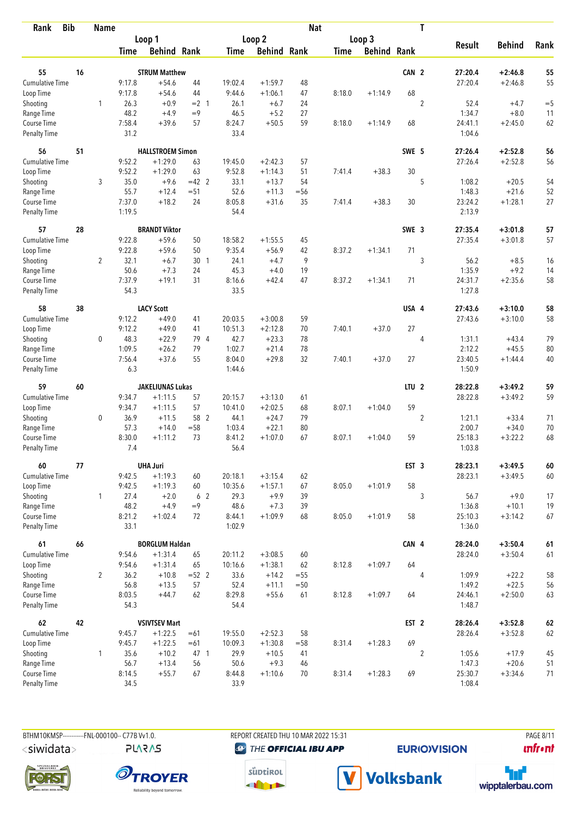| <b>Bib</b><br>Rank           |    | <b>Name</b>    |                |                                   |                |                |                    | <b>Nat</b> |             |                    |                  | T              |                    |                        |          |
|------------------------------|----|----------------|----------------|-----------------------------------|----------------|----------------|--------------------|------------|-------------|--------------------|------------------|----------------|--------------------|------------------------|----------|
|                              |    |                |                | Loop 1                            |                |                | Loop 2             |            |             | Loop 3             |                  |                |                    |                        |          |
|                              |    |                | <b>Time</b>    | <b>Behind Rank</b>                |                | <b>Time</b>    | <b>Behind Rank</b> |            | <b>Time</b> | <b>Behind Rank</b> |                  |                | <b>Result</b>      | <b>Behind</b>          | Rank     |
| 55                           | 16 |                |                | <b>STRUM Matthew</b>              |                |                |                    |            |             |                    | CAN 2            |                | 27:20.4            | $+2:46.8$              | 55       |
| <b>Cumulative Time</b>       |    |                | 9:17.8         | $+54.6$                           | 44             | 19:02.4        | $+1:59.7$          | 48         |             |                    |                  |                | 27:20.4            | $+2:46.8$              | 55       |
| Loop Time                    |    |                | 9:17.8         | $+54.6$                           | 44             | 9:44.6         | $+1:06.1$          | 47         | 8:18.0      | $+1:14.9$          | 68               |                |                    |                        |          |
| Shooting                     |    | 1              | 26.3           | $+0.9$                            | $= 2 \quad 1$  | 26.1           | $+6.7$             | 24         |             |                    |                  | 2              | 52.4               | $+4.7$                 | $= 5$    |
| Range Time                   |    |                | 48.2           | $+4.9$                            | $=9$           | 46.5           | $+5.2$             | 27         |             |                    |                  |                | 1:34.7             | $+8.0$                 | 11       |
| Course Time                  |    |                | 7:58.4         | $+39.6$                           | 57             | 8:24.7         | $+50.5$            | 59         | 8:18.0      | $+1:14.9$          | 68               |                | 24:41.1            | $+2:45.0$              | 62       |
| <b>Penalty Time</b>          |    |                | 31.2           |                                   |                | 33.4           |                    |            |             |                    |                  |                | 1:04.6             |                        |          |
| 56                           | 51 |                |                | <b>HALLSTROEM Simon</b>           |                |                |                    |            |             |                    | SWE 5            |                | 27:26.4            | $+2:52.8$              | 56       |
| Cumulative Time              |    |                | 9:52.2         | $+1:29.0$                         | 63             | 19:45.0        | $+2:42.3$          | 57         |             |                    |                  |                | 27:26.4            | $+2:52.8$              | 56       |
| Loop Time                    |    |                | 9:52.2         | $+1:29.0$                         | 63             | 9:52.8         | $+1:14.3$          | 51         | 7:41.4      | $+38.3$            | 30               |                |                    |                        |          |
| Shooting                     |    | 3              | 35.0           | $+9.6$                            | $=42$ 2        | 33.1           | $+13.7$            | 54         |             |                    |                  | 5              | 1:08.2             | $+20.5$                | 54       |
| Range Time                   |    |                | 55.7           | $+12.4$                           | $= 51$         | 52.6           | $+11.3$            | $=$ 56     |             |                    |                  |                | 1:48.3             | $+21.6$                | 52       |
| Course Time                  |    |                | 7:37.0         | $+18.2$                           | 24             | 8:05.8         | $+31.6$            | 35         | 7:41.4      | $+38.3$            | 30               |                | 23:24.2            | $+1:28.1$              | 27       |
| <b>Penalty Time</b>          |    |                | 1:19.5         |                                   |                | 54.4           |                    |            |             |                    |                  |                | 2:13.9             |                        |          |
| 57                           | 28 |                |                | <b>BRANDT Viktor</b>              |                |                |                    |            |             |                    | SWE 3            |                | 27:35.4            | $+3:01.8$              | 57       |
| Cumulative Time              |    |                | 9:22.8         | $+59.6$                           | 50             | 18:58.2        | $+1:55.5$          | 45         |             |                    |                  |                | 27:35.4            | $+3:01.8$              | 57       |
| Loop Time                    |    |                | 9:22.8         | $+59.6$                           | 50             | 9:35.4         | $+56.9$            | 42         | 8:37.2      | $+1:34.1$          | 71               |                |                    |                        |          |
| Shooting                     |    | $\overline{2}$ | 32.1           | $+6.7$                            | 30 1           | 24.1           | $+4.7$             | 9          |             |                    |                  | 3              | 56.2               | $+8.5$                 | 16       |
| Range Time                   |    |                | 50.6           | $+7.3$                            | 24             | 45.3           | $+4.0$             | 19         |             |                    |                  |                | 1:35.9             | $+9.2$                 | 14       |
| Course Time                  |    |                | 7:37.9         | $+19.1$                           | 31             | 8:16.6         | $+42.4$            | 47         | 8:37.2      | $+1:34.1$          | 71               |                | 24:31.7            | $+2:35.6$              | 58       |
| <b>Penalty Time</b>          |    |                | 54.3           |                                   |                | 33.5           |                    |            |             |                    |                  |                | 1:27.8             |                        |          |
| 58                           | 38 |                |                | <b>LACY Scott</b>                 |                |                |                    |            |             |                    | USA 4            |                | 27:43.6            | $+3:10.0$              | 58       |
| Cumulative Time              |    |                | 9:12.2         | $+49.0$                           | 41             | 20:03.5        | $+3:00.8$          | 59         |             |                    |                  |                | 27:43.6            | $+3:10.0$              | 58       |
| Loop Time                    |    |                | 9:12.2         | $+49.0$                           | 41             | 10:51.3        | $+2:12.8$          | 70         | 7:40.1      | $+37.0$            | 27               |                |                    |                        |          |
| Shooting                     |    | 0              | 48.3           | $+22.9$                           | 79 4           | 42.7           | $+23.3$            | 78         |             |                    |                  | $\overline{4}$ | 1:31.1             | $+43.4$                | 79       |
| Range Time                   |    |                | 1:09.5         | $+26.2$                           | 79             | 1:02.7         | $+21.4$            | 78         |             |                    |                  |                | 2:12.2             | $+45.5$                | 80       |
| Course Time                  |    |                | 7:56.4         | $+37.6$                           | 55             | 8:04.0         | $+29.8$            | 32         | 7:40.1      | $+37.0$            | 27               |                | 23:40.5            | $+1:44.4$              | 40       |
| <b>Penalty Time</b>          |    |                | 6.3            |                                   |                | 1:44.6         |                    |            |             |                    |                  |                | 1:50.9             |                        |          |
| 59                           | 60 |                |                | <b>JAKELIUNAS Lukas</b>           |                |                |                    |            |             |                    | LTU <sub>2</sub> |                | 28:22.8            | $+3:49.2$              | 59       |
| Cumulative Time              |    |                | 9:34.7         | $+1:11.5$                         | 57             | 20:15.7        | $+3:13.0$          | 61         |             |                    |                  |                | 28:22.8            | $+3:49.2$              | 59       |
| Loop Time                    |    |                | 9:34.7         | $+1:11.5$                         | 57             | 10:41.0        | $+2:02.5$          | 68         | 8:07.1      | $+1:04.0$          | 59               |                |                    |                        |          |
| Shooting                     |    | 0              | 36.9           | $+11.5$                           | 58 2           | 44.1           | $+24.7$            | 79         |             |                    |                  | $\overline{2}$ | 1:21.1             | $+33.4$                | 71       |
| Range Time                   |    |                | 57.3           | $+14.0$                           | $= 58$         | 1:03.4         | $+22.1$            | 80         |             |                    |                  |                | 2:00.7             | $+34.0$                | 70       |
| Course Time                  |    |                | 8:30.0         | $+1:11.2$                         | 73             | 8:41.2         | $+1:07.0$          | 67         | 8:07.1      | $+1:04.0$          | 59               |                | 25:18.3            | $+3:22.2$              | 68       |
| <b>Penalty Time</b>          |    |                | 7.4            |                                   |                | 56.4           |                    |            |             |                    |                  |                | 1:03.8             |                        |          |
| 60                           | 77 |                |                | <b>UHA Juri</b>                   |                |                |                    |            |             |                    | EST <sub>3</sub> |                | 28:23.1            | $+3:49.5$              | 60       |
| <b>Cumulative Time</b>       |    |                | 9:42.5         | $+1:19.3$                         | 60             | 20:18.1        | $+3:15.4$          | 62         |             |                    |                  |                | 28:23.1            | $+3:49.5$              | 60       |
| Loop Time                    |    |                | 9:42.5         | $+1:19.3$                         | 60             | 10:35.6        | $+1:57.1$          | 67         | 8:05.0      | $+1:01.9$          | 58               |                |                    |                        |          |
| Shooting                     |    | $\mathbf{1}$   | 27.4           | $+2.0$                            | 6 <sub>2</sub> | 29.3           | $+9.9$             | 39         |             |                    |                  | 3              | 56.7               | $+9.0$                 | 17       |
| Range Time                   |    |                | 48.2           | $+4.9$                            | $=9$           | 48.6           | $+7.3$             | 39         |             |                    |                  |                | 1:36.8             | $+10.1$                | 19       |
| Course Time                  |    |                | 8:21.2         | $+1:02.4$                         | 72             | 8:44.1         | $+1:09.9$          | 68         | 8:05.0      | $+1:01.9$          | 58               |                | 25:10.3            | $+3:14.2$              | 67       |
| Penalty Time                 |    |                | 33.1           |                                   |                | 1:02.9         |                    |            |             |                    |                  |                | 1:36.0             |                        |          |
| 61                           | 66 |                |                | <b>BORGLUM Haldan</b>             |                |                |                    |            |             |                    | CAN 4            |                | 28:24.0            | $+3:50.4$              | $61\,$   |
| <b>Cumulative Time</b>       |    |                | 9:54.6         | $+1:31.4$                         | 65             | 20:11.2        | $+3:08.5$          | 60         |             |                    |                  |                | 28:24.0            | $+3:50.4$              | 61       |
| Loop Time                    |    |                | 9:54.6         | $+1:31.4$                         | 65             | 10:16.6        | $+1:38.1$          | 62         | 8:12.8      | $+1:09.7$          | 64               |                |                    |                        |          |
| Shooting                     |    | $\overline{2}$ | 36.2           | $+10.8$                           | $=52$ 2        | 33.6           | $+14.2$            | $=55$      |             |                    |                  | $\overline{4}$ | 1:09.9             | $+22.2$                | 58       |
| Range Time                   |    |                | 56.8           | $+13.5$                           | 57             | 52.4           | $+11.1$            | $=50$      |             |                    |                  |                | 1:49.2             | $+22.5$                | 56       |
| Course Time<br>Penalty Time  |    |                | 8:03.5<br>54.3 | $+44.7$                           | 62             | 8:29.8<br>54.4 | $+55.6$            | 61         | 8:12.8      | $+1:09.7$          | 64               |                | 24:46.1<br>1:48.7  | $+2:50.0$              | 63       |
|                              |    |                |                |                                   |                |                |                    |            |             |                    |                  |                |                    |                        |          |
| 62<br><b>Cumulative Time</b> | 42 |                | 9:45.7         | <b>VSIVTSEV Mart</b><br>$+1:22.5$ | $=61$          | 19:55.0        | $+2:52.3$          | 58         |             |                    | EST <sub>2</sub> |                | 28:26.4<br>28:26.4 | $+3:52.8$<br>$+3:52.8$ | 62<br>62 |
| Loop Time                    |    |                | 9:45.7         | $+1:22.5$                         | $=61$          | 10:09.3        | $+1:30.8$          | $= 58$     | 8:31.4      | $+1:28.3$          | 69               |                |                    |                        |          |
| Shooting                     |    | 1              | 35.6           | $+10.2$                           | 47 1           | 29.9           | $+10.5$            | 41         |             |                    |                  | $\overline{2}$ | 1:05.6             | $+17.9$                | 45       |
| Range Time                   |    |                | 56.7           | $+13.4$                           | 56             | 50.6           | $+9.3$             | 46         |             |                    |                  |                | 1:47.3             | $+20.6$                | 51       |
| Course Time                  |    |                | 8:14.5         | $+55.7$                           | 67             | 8:44.8         | $+1:10.6$          | 70         | 8:31.4      | $+1:28.3$          | 69               |                | 25:30.7            | $+3:34.6$              | 71       |
| Penalty Time                 |    |                | 34.5           |                                   |                | 33.9           |                    |            |             |                    |                  |                | 1:08.4             |                        |          |

**PLARAS** 

BTHM10KMSP-----------FNL-000100-- C77B Vv1.0. REPORT CREATED THU 10 MAR 2022 15:31 PAGE 8/11 **@** THE OFFICIAL IBU APP

**EURIO)VISION** 

**unfront** 









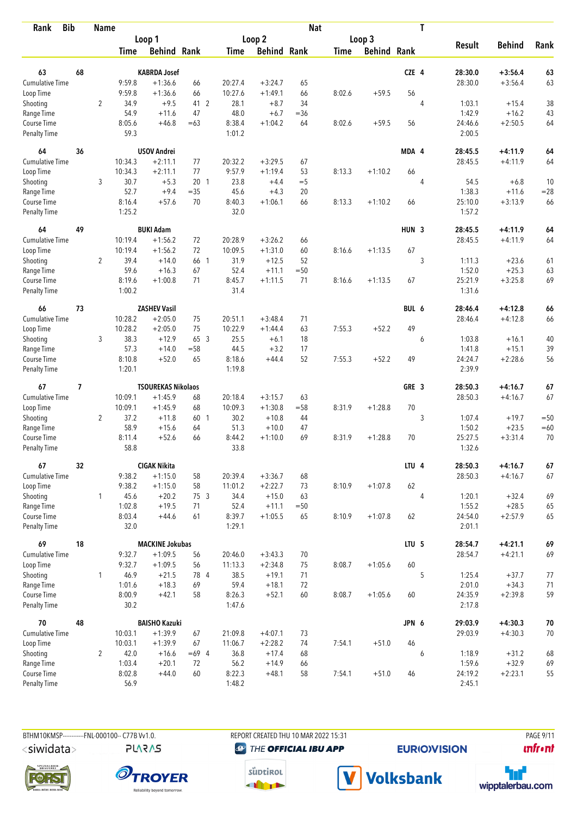| <b>Bib</b><br>Rank          |                | <b>Name</b>    |                |                           |         |                  |                    | <b>Nat</b> |             |                    |                  | T |                   |               |          |
|-----------------------------|----------------|----------------|----------------|---------------------------|---------|------------------|--------------------|------------|-------------|--------------------|------------------|---|-------------------|---------------|----------|
|                             |                |                |                | Loop 1                    |         |                  | Loop <sub>2</sub>  |            |             | Loop 3             |                  |   |                   |               |          |
|                             |                |                | <b>Time</b>    | <b>Behind Rank</b>        |         | Time             | <b>Behind Rank</b> |            | <b>Time</b> | <b>Behind Rank</b> |                  |   | <b>Result</b>     | <b>Behind</b> | Rank     |
| 63                          | 68             |                |                | <b>KABRDA Josef</b>       |         |                  |                    |            |             |                    | CZE 4            |   | 28:30.0           | $+3:56.4$     | 63       |
| <b>Cumulative Time</b>      |                |                | 9:59.8         | $+1:36.6$                 | 66      | 20:27.4          | $+3:24.7$          | 65         |             |                    |                  |   | 28:30.0           | $+3:56.4$     | 63       |
| Loop Time                   |                |                | 9:59.8         | $+1:36.6$                 | 66      | 10:27.6          | $+1:49.1$          | 66         | 8:02.6      | $+59.5$            | 56               |   |                   |               |          |
| Shooting                    |                | $\overline{2}$ | 34.9           | $+9.5$                    | 41 2    | 28.1             | $+8.7$             | 34         |             |                    |                  | 4 | 1:03.1            | $+15.4$       | 38       |
| Range Time                  |                |                | 54.9           | $+11.6$                   | 47      | 48.0             | $+6.7$             | $= 36$     |             |                    |                  |   | 1:42.9            | $+16.2$       | 43       |
| Course Time                 |                |                | 8:05.6         | $+46.8$                   | $=63$   | 8:38.4           | $+1:04.2$          | 64         | 8:02.6      | $+59.5$            | 56               |   | 24:46.6           | $+2:50.5$     | 64       |
| <b>Penalty Time</b>         |                |                | 59.3           |                           |         | 1:01.2           |                    |            |             |                    |                  |   | 2:00.5            |               |          |
| 64                          | 36             |                |                | <b>USOV Andrei</b>        |         |                  |                    |            |             |                    | MDA 4            |   | 28:45.5           | $+4:11.9$     | 64       |
| Cumulative Time             |                |                | 10:34.3        | $+2:11.1$                 | 77      | 20:32.2          | $+3:29.5$          | 67         |             |                    |                  |   | 28:45.5           | $+4:11.9$     | 64       |
| Loop Time                   |                |                | 10:34.3        | $+2:11.1$                 | 77      | 9:57.9           | $+1:19.4$          | 53         | 8:13.3      | $+1:10.2$          | 66               |   |                   |               |          |
| Shooting                    |                | 3              | 30.7           | $+5.3$                    | 201     | 23.8             | $+4.4$             | $=$ 5      |             |                    |                  | 4 | 54.5              | $+6.8$        | 10       |
| Range Time                  |                |                | 52.7           | $+9.4$                    | $=35$   | 45.6             | $+4.3$             | 20         |             |                    |                  |   | 1:38.3            | $+11.6$       | $= 28$   |
| Course Time                 |                |                | 8:16.4         | $+57.6$                   | 70      | 8:40.3           | $+1:06.1$          | 66         | 8:13.3      | $+1:10.2$          | 66               |   | 25:10.0           | $+3:13.9$     | 66       |
| <b>Penalty Time</b>         |                |                | 1:25.2         |                           |         | 32.0             |                    |            |             |                    |                  |   | 1:57.2            |               |          |
| 64                          | 49             |                |                | <b>BUKI Adam</b>          |         |                  |                    |            |             |                    | HUN <sub>3</sub> |   | 28:45.5           | $+4:11.9$     | 64       |
| Cumulative Time             |                |                | 10:19.4        | $+1:56.2$                 | 72      | 20:28.9          | $+3:26.2$          | 66         |             |                    |                  |   | 28:45.5           | $+4:11.9$     | 64       |
| Loop Time                   |                |                | 10:19.4        | $+1:56.2$                 | 72      | 10:09.5          | $+1:31.0$          | 60         | 8:16.6      | $+1:13.5$          | 67               |   |                   |               |          |
| Shooting                    |                | $\overline{2}$ | 39.4           | $+14.0$                   | 66 1    | 31.9             | $+12.5$            | 52         |             |                    |                  | 3 | 1:11.3            | $+23.6$       | 61       |
| Range Time                  |                |                | 59.6           | $+16.3$                   | 67      | 52.4             | $+11.1$            | $=50$      |             |                    |                  |   | 1:52.0            | $+25.3$       | 63       |
| Course Time                 |                |                | 8:19.6         | $+1:00.8$                 | 71      | 8:45.7           | $+1:11.5$          | 71         | 8:16.6      | $+1:13.5$          | 67               |   | 25:21.9           | $+3:25.8$     | 69       |
| <b>Penalty Time</b>         |                |                | 1:00.2         |                           |         | 31.4             |                    |            |             |                    |                  |   | 1:31.6            |               |          |
| 66                          | 73             |                |                | <b>ZASHEV Vasil</b>       |         |                  |                    |            |             |                    | BUL 6            |   | 28:46.4           | $+4:12.8$     | 66       |
| Cumulative Time             |                |                | 10:28.2        | $+2:05.0$                 | 75      | 20:51.1          | $+3:48.4$          | 71         |             |                    |                  |   | 28:46.4           | $+4:12.8$     | 66       |
| Loop Time                   |                |                | 10:28.2        | $+2:05.0$                 | 75      | 10:22.9          | $+1:44.4$          | 63         | 7:55.3      | $+52.2$            | 49               |   |                   |               |          |
| Shooting                    |                | 3              | 38.3           | $+12.9$                   | 65 3    | 25.5             | $+6.1$             | 18         |             |                    |                  | 6 | 1:03.8            | $+16.1$       | 40       |
| Range Time                  |                |                | 57.3           | $+14.0$                   | $=58$   | 44.5             | $+3.2$             | 17         |             |                    |                  |   | 1:41.8            | $+15.1$       | 39       |
| Course Time                 |                |                | 8:10.8         | $+52.0$                   | 65      | 8:18.6           | $+44.4$            | 52         | 7:55.3      | $+52.2$            | 49               |   | 24:24.7           | $+2:28.6$     | 56       |
| <b>Penalty Time</b>         |                |                | 1:20.1         |                           |         | 1:19.8           |                    |            |             |                    |                  |   | 2:39.9            |               |          |
| 67                          | $\overline{1}$ |                |                | <b>TSOUREKAS Nikolaos</b> |         |                  |                    |            |             |                    | GRE 3            |   | 28:50.3           | $+4:16.7$     | 67       |
| <b>Cumulative Time</b>      |                |                | 10:09.1        | $+1:45.9$                 | 68      | 20:18.4          | $+3:15.7$          | 63         |             |                    |                  |   | 28:50.3           | $+4:16.7$     | 67       |
| Loop Time                   |                |                | 10:09.1        | $+1:45.9$                 | 68      | 10:09.3          | $+1:30.8$          | $= 58$     | 8:31.9      | $+1:28.8$          | 70               |   |                   |               |          |
| Shooting                    |                | $\overline{2}$ | 37.2           | $+11.8$                   | 60 1    | 30.2             | $+10.8$            | 44         |             |                    |                  | 3 | 1:07.4            | $+19.7$       | $=50$    |
| Range Time                  |                |                | 58.9           | $+15.6$                   | 64      | 51.3             | $+10.0$            | 47         |             |                    |                  |   | 1:50.2            | $+23.5$       | $=60$    |
| Course Time                 |                |                | 8:11.4         | $+52.6$                   | 66      | 8:44.2           | $+1:10.0$          | 69         | 8:31.9      | $+1:28.8$          | 70               |   | 25:27.5           | $+3:31.4$     | 70       |
| <b>Penalty Time</b>         |                |                | 58.8           |                           |         | 33.8             |                    |            |             |                    |                  |   | 1:32.6            |               |          |
| 67                          | 32             |                |                | <b>CIGAK Nikita</b>       |         |                  |                    |            |             |                    | LTU 4            |   | 28:50.3           | $+4:16.7$     | 67       |
| <b>Cumulative Time</b>      |                |                | 9:38.2         | $+1:15.0$                 | 58      | 20:39.4          | $+3:36.7$          | 68         |             |                    |                  |   | 28:50.3           | $+4:16.7$     | 67       |
| Loop Time                   |                |                | 9:38.2         | $+1:15.0$                 | 58      | 11:01.2          | $+2:22.7$          | 73         | 8:10.9      | $+1:07.8$          | 62               |   |                   |               |          |
| Shooting                    |                | $\mathbf{1}$   | 45.6           | $+20.2$                   | 75 3    | 34.4             | $+15.0$            | 63         |             |                    |                  | 4 | 1:20.1            | $+32.4$       | 69       |
| Range Time                  |                |                | 1:02.8         | $+19.5$                   | 71      | 52.4             | $+11.1$            | $=50$      |             |                    |                  |   | 1:55.2            | $+28.5$       | 65       |
| Course Time<br>Penalty Time |                |                | 8:03.4<br>32.0 | $+44.6$                   | 61      | 8:39.7<br>1:29.1 | $+1:05.5$          | 65         | 8:10.9      | $+1:07.8$          | 62               |   | 24:54.0<br>2:01.1 | $+2:57.9$     | 65       |
| 69                          | 18             |                |                | <b>MACKINE Jokubas</b>    |         |                  |                    |            |             |                    | LTU <sub>5</sub> |   | 28:54.7           | $+4:21.1$     | 69       |
| <b>Cumulative Time</b>      |                |                | 9:32.7         | $+1:09.5$                 | 56      | 20:46.0          | $+3:43.3$          | 70         |             |                    |                  |   | 28:54.7           | $+4:21.1$     | 69       |
| Loop Time                   |                |                | 9:32.7         | $+1:09.5$                 | 56      | 11:13.3          | $+2:34.8$          | 75         | 8:08.7      | $+1:05.6$          | 60               |   |                   |               |          |
| Shooting                    |                | $\mathbf{1}$   | 46.9           | $+21.5$                   | 78 4    | 38.5             | $+19.1$            | 71         |             |                    |                  | 5 | 1:25.4            | $+37.7$       |          |
| Range Time                  |                |                | 1:01.6         | $+18.3$                   | 69      | 59.4             | $+18.1$            | 72         |             |                    |                  |   | 2:01.0            | $+34.3$       | 77<br>71 |
| Course Time                 |                |                | 8:00.9         | $+42.1$                   | 58      | 8:26.3           | $+52.1$            | 60         | 8:08.7      | $+1:05.6$          | 60               |   | 24:35.9           | $+2:39.8$     | 59       |
| Penalty Time                |                |                | 30.2           |                           |         | 1:47.6           |                    |            |             |                    |                  |   | 2:17.8            |               |          |
| 70                          | 48             |                |                | <b>BAISHO Kazuki</b>      |         |                  |                    |            |             |                    | JPN 6            |   | 29:03.9           | $+4:30.3$     | $70\,$   |
| <b>Cumulative Time</b>      |                |                | 10:03.1        | $+1:39.9$                 | 67      | 21:09.8          | $+4:07.1$          | 73         |             |                    |                  |   | 29:03.9           | $+4:30.3$     | 70       |
| Loop Time                   |                |                | 10:03.1        | $+1:39.9$                 | 67      | 11:06.7          | $+2:28.2$          | 74         | 7:54.1      | $+51.0$            | 46               |   |                   |               |          |
| Shooting                    |                | $\overline{2}$ | 42.0           | $+16.6$                   | $=69$ 4 | 36.8             | $+17.4$            | 68         |             |                    |                  | 6 | 1:18.9            | $+31.2$       | 68       |
| Range Time                  |                |                | 1:03.4         | $+20.1$                   | 72      | 56.2             | $+14.9$            | 66         |             |                    |                  |   | 1:59.6            | $+32.9$       | 69       |
| Course Time                 |                |                | 8:02.8         | $+44.0$                   | 60      | 8:22.3           | $+48.1$            | 58         | 7:54.1      | $+51.0$            | 46               |   | 24:19.2           | $+2:23.1$     | 55       |
| Penalty Time                |                |                | 56.9           |                           |         | 1:48.2           |                    |            |             |                    |                  |   | 2:45.1            |               |          |

**PLARAS** 

BTHM10KMSP-----------FNL-000100-- C77B Vv1.0. REPORT CREATED THU 10 MAR 2022 15:31 PAGE 9/11 **@** THE OFFICIAL IBU APP

**EURIO)VISION** 

**unfront** 







V Volksbank

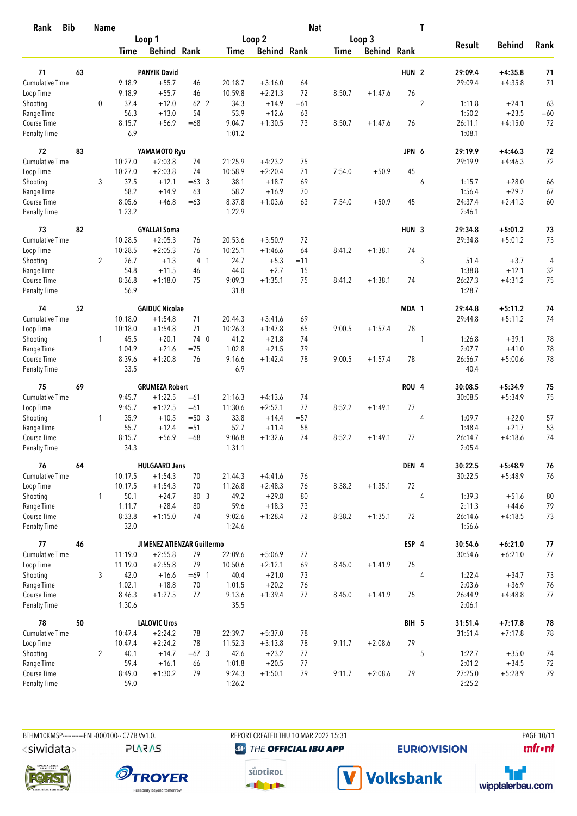| <b>Bib</b><br>Rank                 |    | <b>Name</b>    |                |                                |                |                  |                        | <b>Nat</b> |             |                    |                  | T              |                    |                    |          |
|------------------------------------|----|----------------|----------------|--------------------------------|----------------|------------------|------------------------|------------|-------------|--------------------|------------------|----------------|--------------------|--------------------|----------|
|                                    |    |                |                | Loop 1                         |                |                  | Loop 2                 |            |             | Loop 3             |                  |                |                    |                    |          |
|                                    |    |                | Time           | <b>Behind Rank</b>             |                | Time             | <b>Behind Rank</b>     |            | <b>Time</b> | <b>Behind Rank</b> |                  |                | <b>Result</b>      | <b>Behind</b>      | Rank     |
|                                    |    |                |                |                                |                |                  |                        |            |             |                    |                  |                |                    |                    |          |
| 71<br><b>Cumulative Time</b>       | 63 |                | 9:18.9         | <b>PANYIK David</b><br>$+55.7$ |                | 20:18.7          |                        |            |             |                    | HUN <sub>2</sub> |                | 29:09.4<br>29:09.4 | $+4:35.8$          | 71<br>71 |
|                                    |    |                | 9:18.9         | $+55.7$                        | 46             | 10:59.8          | $+3:16.0$<br>$+2:21.3$ | 64<br>72   |             |                    | 76               |                |                    | $+4:35.8$          |          |
| Loop Time<br>Shooting              |    | $\mathbf 0$    | 37.4           | $+12.0$                        | 46<br>62 2     | 34.3             | $+14.9$                | $=61$      | 8:50.7      | $+1:47.6$          |                  | $\overline{2}$ | 1:11.8             | $+24.1$            | 63       |
| Range Time                         |    |                | 56.3           | $+13.0$                        | 54             | 53.9             | $+12.6$                | 63         |             |                    |                  |                | 1:50.2             | $+23.5$            | $=60$    |
| Course Time                        |    |                | 8:15.7         | $+56.9$                        | $=68$          | 9:04.7           | $+1:30.5$              | 73         | 8:50.7      | $+1:47.6$          | 76               |                | 26:11.1            | $+4:15.0$          | 72       |
| <b>Penalty Time</b>                |    |                | 6.9            |                                |                | 1:01.2           |                        |            |             |                    |                  |                | 1:08.1             |                    |          |
| 72                                 | 83 |                |                | YAMAMOTO Ryu                   |                |                  |                        |            |             |                    | JPN 6            |                | 29:19.9            | $+4:46.3$          | 72       |
| Cumulative Time                    |    |                | 10:27.0        | $+2:03.8$                      | 74             | 21:25.9          | $+4:23.2$              | 75         |             |                    |                  |                | 29:19.9            | $+4:46.3$          | 72       |
| Loop Time                          |    |                | 10:27.0        | $+2:03.8$                      | 74             | 10:58.9          | $+2:20.4$              | 71         | 7:54.0      | $+50.9$            | 45               |                |                    |                    |          |
| Shooting                           |    | 3              | 37.5           | $+12.1$                        | $=63$ 3        | 38.1             | $+18.7$                | 69         |             |                    |                  | 6              | 1:15.7             | $+28.0$            | 66       |
| Range Time                         |    |                | 58.2           | $+14.9$                        | 63             | 58.2             | $+16.9$                | 70         |             |                    |                  |                | 1:56.4             | $+29.7$            | 67       |
| Course Time                        |    |                | 8:05.6         | $+46.8$                        | $=63$          | 8:37.8           | $+1:03.6$              | 63         | 7:54.0      | $+50.9$            | 45               |                | 24:37.4            | $+2:41.3$          | 60       |
| <b>Penalty Time</b>                |    |                | 1:23.2         |                                |                | 1:22.9           |                        |            |             |                    |                  |                | 2:46.1             |                    |          |
| 73                                 | 82 |                |                | <b>GYALLAI Soma</b>            |                |                  |                        |            |             |                    | HUN <sub>3</sub> |                | 29:34.8            | $+5:01.2$          | 73       |
| <b>Cumulative Time</b>             |    |                | 10:28.5        | $+2:05.3$                      | 76             | 20:53.6          | $+3:50.9$              | 72         |             |                    |                  |                | 29:34.8            | $+5:01.2$          | 73       |
| Loop Time                          |    |                | 10:28.5        | $+2:05.3$                      | 76             | 10:25.1          | $+1:46.6$              | 64         | 8:41.2      | $+1:38.1$          | 74               |                |                    |                    |          |
| Shooting                           |    | $\overline{2}$ | 26.7           | $+1.3$                         | 4 <sub>1</sub> | 24.7             | $+5.3$                 | $=11$      |             |                    |                  | 3              | 51.4               | $+3.7$             | 4        |
| Range Time                         |    |                | 54.8           | $+11.5$                        | 46             | 44.0             | $+2.7$                 | 15         |             |                    |                  |                | 1:38.8             | $+12.1$            | 32       |
| Course Time<br><b>Penalty Time</b> |    |                | 8:36.8<br>56.9 | $+1:18.0$                      | 75             | 9:09.3<br>31.8   | $+1:35.1$              | 75         | 8:41.2      | $+1:38.1$          | 74               |                | 26:27.3<br>1:28.7  | $+4:31.2$          | 75       |
| 74                                 | 52 |                |                | <b>GAIDUC Nicolae</b>          |                |                  |                        |            |             |                    | MDA 1            |                | 29:44.8            | $+5:11.2$          | 74       |
| <b>Cumulative Time</b>             |    |                | 10:18.0        | $+1:54.8$                      | 71             | 20:44.3          | $+3:41.6$              | 69         |             |                    |                  |                | 29:44.8            | $+5:11.2$          | 74       |
| Loop Time                          |    |                | 10:18.0        | $+1:54.8$                      | 71             | 10:26.3          | $+1:47.8$              | 65         | 9:00.5      | $+1:57.4$          | 78               |                |                    |                    |          |
| Shooting                           |    | $\mathbf{1}$   | 45.5           | $+20.1$                        | 74 0           | 41.2             | $+21.8$                | 74         |             |                    |                  | 1              | 1:26.8             | $+39.1$            | 78       |
| Range Time                         |    |                | 1:04.9         | $+21.6$                        | $=75$          | 1:02.8           | $+21.5$                | 79         |             |                    |                  |                | 2:07.7             | $+41.0$            | 78       |
| Course Time                        |    |                | 8:39.6         | $+1:20.8$                      | 76             | 9:16.6           | $+1:42.4$              | 78         | 9:00.5      | $+1:57.4$          | 78               |                | 26:56.7            | $+5:00.6$          | 78       |
| <b>Penalty Time</b>                |    |                | 33.5           |                                |                | 6.9              |                        |            |             |                    |                  |                | 40.4               |                    |          |
| 75                                 | 69 |                |                | <b>GRUMEZA Robert</b>          |                |                  |                        |            |             |                    | ROU 4            |                | 30:08.5            | $+5:34.9$          | 75       |
| <b>Cumulative Time</b>             |    |                | 9:45.7         | $+1:22.5$                      | $=61$          | 21:16.3          | $+4:13.6$              | 74         |             |                    |                  |                | 30:08.5            | $+5:34.9$          | 75       |
| Loop Time                          |    |                | 9:45.7         | $+1:22.5$                      | $=61$          | 11:30.6          | $+2:52.1$              | 77         | 8:52.2      | $+1:49.1$          | 77               |                |                    |                    |          |
| Shooting                           |    | 1              | 35.9           | $+10.5$                        | $= 50 \quad 3$ | 33.8             | $+14.4$                | $= 57$     |             |                    |                  | 4              | 1:09.7             | $+22.0$            | 57       |
| Range Time                         |    |                | 55.7           | $+12.4$                        | $= 51$         | 52.7             | $+11.4$                | 58         |             |                    |                  |                | 1:48.4             | $+21.7$            | 53       |
| Course Time                        |    |                | 8:15.7         | $+56.9$                        | $=68$          | 9:06.8           | $+1:32.6$              | 74         | 8:52.2      | $+1:49.1$          | 77               |                | 26:14.7            | $+4:18.6$          | 74       |
| <b>Penalty Time</b>                |    |                | 34.3           |                                |                | 1:31.1           |                        |            |             |                    |                  |                | 2:05.4             |                    |          |
| 76                                 | 64 |                |                | <b>HULGAARD Jens</b>           |                |                  |                        |            |             |                    | DEN 4            |                | 30:22.5            | $+5:48.9$          | 76       |
| Cumulative Time                    |    |                | 10:17.5        | $+1:54.3$                      | 70             | 21:44.3          | $+4:41.6$              | 76         |             |                    |                  |                | 30:22.5            | $+5:48.9$          | 76       |
| Loop Time                          |    |                | 10:17.5        | $+1:54.3$                      | 70             | 11:26.8          | $+2:48.3$              | 76         | 8:38.2      | $+1:35.1$          | 72               |                |                    |                    |          |
| Shooting<br>Range Time             |    | $\mathbf{1}$   | 50.1<br>1:11.7 | $+24.7$<br>$+28.4$             | 80 3<br>80     | 49.2<br>59.6     | $+29.8$<br>$+18.3$     | 80<br>73   |             |                    |                  | 4              | 1:39.3<br>2:11.3   | $+51.6$<br>$+44.6$ | 80<br>79 |
| Course Time                        |    |                | 8:33.8         | $+1:15.0$                      | 74             | 9:02.6           | $+1:28.4$              | 72         | 8:38.2      | $+1:35.1$          | 72               |                | 26:14.6            | $+4:18.5$          | 73       |
| Penalty Time                       |    |                | 32.0           |                                |                | 1:24.6           |                        |            |             |                    |                  |                | 1:56.6             |                    |          |
| 77                                 | 46 |                |                | JIMENEZ ATIENZAR Guillermo     |                |                  |                        |            |             |                    | ESP 4            |                | 30:54.6            | $+6:21.0$          | $77$     |
| <b>Cumulative Time</b>             |    |                | 11:19.0        | $+2:55.8$                      | 79             | 22:09.6          | $+5:06.9$              | 77         |             |                    |                  |                | 30:54.6            | $+6:21.0$          | 77       |
| Loop Time                          |    |                | 11:19.0        | $+2:55.8$                      | 79             | 10:50.6          | $+2:12.1$              | 69         | 8:45.0      | $+1:41.9$          | 75               |                |                    |                    |          |
| Shooting                           |    | 3              | 42.0           | $+16.6$                        | $=69$ 1        | 40.4             | $+21.0$                | 73         |             |                    |                  | 4              | 1:22.4             | $+34.7$            | 73       |
| Range Time                         |    |                | 1:02.1         | $+18.8$                        | 70             | 1:01.5           | $+20.2$                | 76         |             |                    |                  |                | 2:03.6             | $+36.9$            | 76       |
| Course Time                        |    |                | 8:46.3         | $+1:27.5$                      | 77             | 9:13.6           | $+1:39.4$              | 77         | 8:45.0      | $+1:41.9$          | 75               |                | 26:44.9            | $+4:48.8$          | 77       |
| Penalty Time                       |    |                | 1:30.6         |                                |                | 35.5             |                        |            |             |                    |                  |                | 2:06.1             |                    |          |
| 78                                 | 50 |                |                | <b>LALOVIC Uros</b>            |                |                  |                        |            |             |                    | BIH 5            |                | 31:51.4            | $+7:17.8$          | 78       |
| Cumulative Time                    |    |                | 10:47.4        | $+2:24.2$                      | 78             | 22:39.7          | $+5:37.0$              | 78         |             |                    |                  |                | 31:51.4            | $+7:17.8$          | 78       |
| Loop Time                          |    |                | 10:47.4        | $+2:24.2$                      | 78             | 11:52.3          | $+3:13.8$              | 78         | 9:11.7      | $+2:08.6$          | 79               |                |                    |                    |          |
| Shooting                           |    | $\overline{2}$ | 40.1           | $+14.7$                        | $=67.3$        | 42.6             | $+23.2$                | 77         |             |                    |                  | 5              | 1:22.7             | $+35.0$            | 74       |
| Range Time                         |    |                | 59.4           | $+16.1$                        | 66<br>79       | 1:01.8           | $+20.5$                | 77         |             |                    | 79               |                | 2:01.2             | $+34.5$            | $72\,$   |
| Course Time<br>Penalty Time        |    |                | 8:49.0<br>59.0 | $+1:30.2$                      |                | 9:24.3<br>1:26.2 | $+1:50.1$              | 79         | 9:11.7      | $+2:08.6$          |                  |                | 27:25.0<br>2:25.2  | $+5:28.9$          | 79       |
|                                    |    |                |                |                                |                |                  |                        |            |             |                    |                  |                |                    |                    |          |

BTHM10KMSP------------FNL-000100-- C77B Vv1.0. <siwidata>

**PLARAS** 

REPORT CREATED THU 10 MAR 2022 15:31 **@** THE OFFICIAL IBU APP

**EURIO)VISION** 

PAGE 10/11 **unfront**